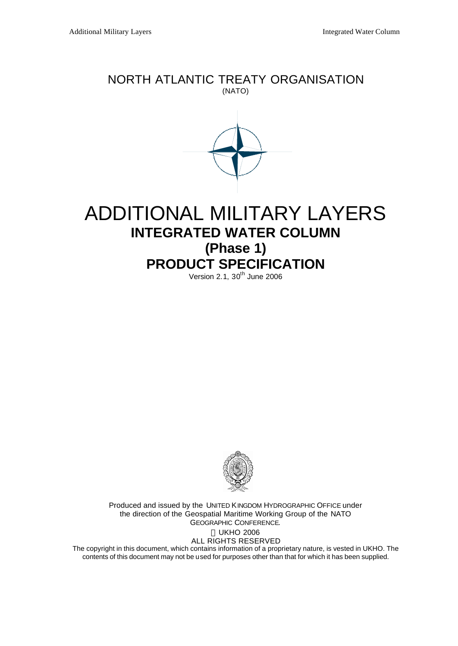# NORTH ATLANTIC TREATY ORGANISATION (NATO)



# ADDITIONAL MILITARY LAYERS **INTEGRATED WATER COLUMN (Phase 1) PRODUCT SPECIFICATION**

 $Version 2.1, 30<sup>th</sup> June 2006$ 



Produced and issued by the UNITED KINGDOM HYDROGRAPHIC OFFICE under the direction of the Geospatial Maritime Working Group of the NATO GEOGRAPHIC CONFERENCE. UKHO 2006 ALL RIGHTS RESERVED The copyright in this document, which contains information of a proprietary nature, is vested in UKHO. The

contents of this document may not be used for purposes other than that for which it has been supplied.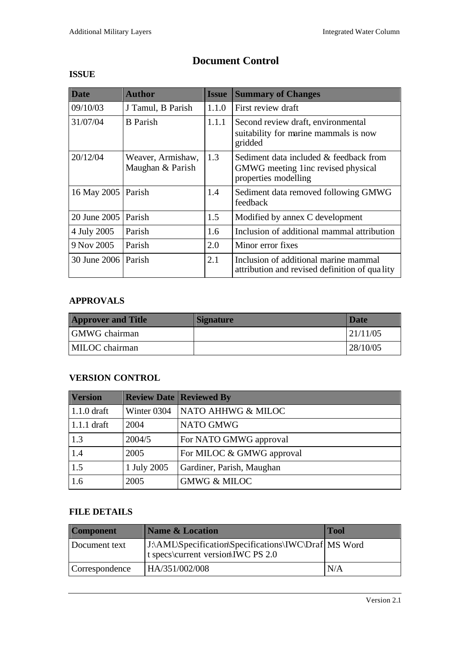| <b>Date</b>         | <b>Author</b>                         | <b>Issue</b> | <b>Summary of Changes</b>                                                                             |
|---------------------|---------------------------------------|--------------|-------------------------------------------------------------------------------------------------------|
| 09/10/03            | J Tamul, B Parish                     | 1.1.0        | First review draft                                                                                    |
| 31/07/04            | <b>B</b> Parish                       | 1.1.1        | Second review draft, environmental<br>suitability for marine mammals is now<br>gridded                |
| 20/12/04            | Weaver, Armishaw,<br>Maughan & Parish | 1.3          | Sediment data included & feedback from<br>GMWG meeting 1 inc revised physical<br>properties modelling |
| 16 May 2005         | Parish                                | 1.4          | Sediment data removed following GMWG<br>feedback                                                      |
| 20 June 2005        | Parish                                | 1.5          | Modified by annex C development                                                                       |
| 4 July 2005         | Parish                                | 1.6          | Inclusion of additional mammal attribution                                                            |
| 9 Nov 2005          | Parish                                | 2.0          | Minor error fixes                                                                                     |
| 30 June 2006 Parish |                                       | 2.1          | Inclusion of additional marine mammal<br>attribution and revised definition of quality                |

**Document Control**

### **ISSUE**

### **APPROVALS**

| <b>Approver and Title</b> | <b>Signature</b> | <b>Date</b> |
|---------------------------|------------------|-------------|
| <b>GMWG</b> chairman      |                  | 121/11/05   |
| MILOC chairman            |                  | 128/10/05   |

# **VERSION CONTROL**

| <b>Version</b> |             | <b>Review Date   Reviewed By</b> |
|----------------|-------------|----------------------------------|
| $1.1.0$ draft  | Winter 0304 | NATO AHHWG & MILOC               |
| $1.1.1$ draft  | 2004        | NATO GMWG                        |
| 1.3            | 2004/5      | For NATO GMWG approval           |
| 1.4            | 2005        | For MILOC & GMWG approval        |
| 1.5            | 1 July 2005 | Gardiner, Parish, Maughan        |
| 1.6            | 2005        | <b>GMWG &amp; MILOC</b>          |

# **FILE DETAILS**

| <b>Component</b> | <b>Name &amp; Location</b>                                                                  | <b>Tool</b> |
|------------------|---------------------------------------------------------------------------------------------|-------------|
| Document text    | [J:\AML\Specification\Specifications\IWC\Draf MS Word<br>t specs\current version\IWC PS 2.0 |             |
| Correspondence   | HA/351/002/008                                                                              | N/A         |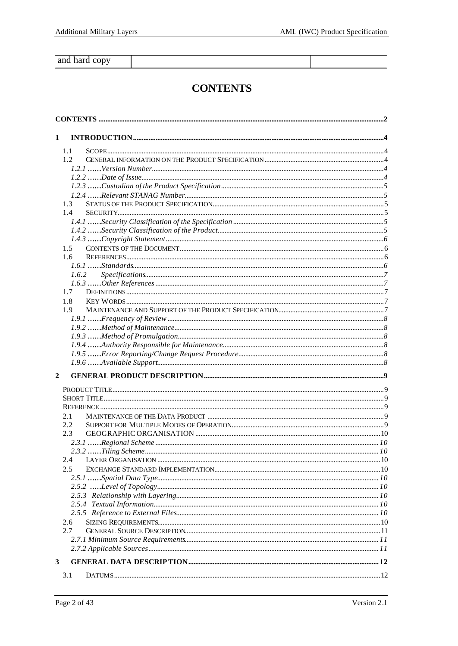and hard copy

# **CONTENTS**

| 1              |  |
|----------------|--|
| 1.1            |  |
| 1.2            |  |
|                |  |
|                |  |
|                |  |
|                |  |
| 1.3            |  |
| 1.4            |  |
|                |  |
|                |  |
|                |  |
| $1.5^{\circ}$  |  |
| $1.6^{\circ}$  |  |
|                |  |
| 1.6.2          |  |
|                |  |
| 1.7            |  |
| 1.8            |  |
| 1.9            |  |
|                |  |
|                |  |
|                |  |
|                |  |
|                |  |
|                |  |
| $\overline{2}$ |  |
|                |  |
|                |  |
|                |  |
| 2.1            |  |
| $2.2^{\circ}$  |  |
| 2.3            |  |
|                |  |
|                |  |
| 2.4            |  |
| 2.5            |  |
|                |  |
|                |  |
|                |  |
|                |  |
|                |  |
| 2.6            |  |
| 2.7            |  |
|                |  |
|                |  |
| 3              |  |
| 3.1            |  |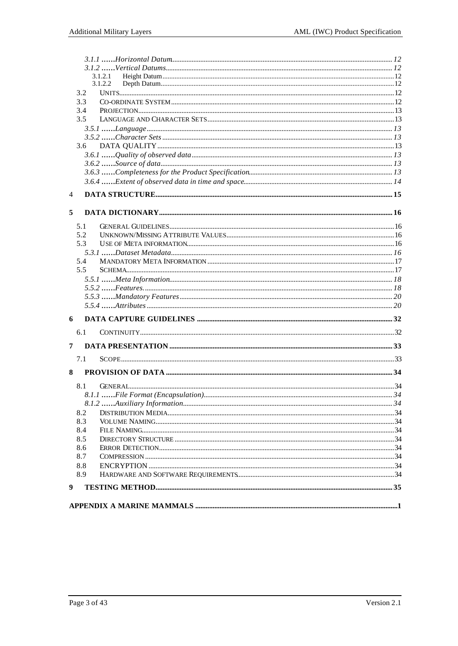|   |               | 3.1.2.1 |  |
|---|---------------|---------|--|
|   |               | 3.1.2.2 |  |
|   | 3.2           |         |  |
|   | 3.3           |         |  |
|   | 3.4           |         |  |
|   | 3.5           |         |  |
|   |               |         |  |
|   |               |         |  |
|   | 3.6           |         |  |
|   |               |         |  |
|   |               |         |  |
|   |               |         |  |
|   |               |         |  |
| 4 |               |         |  |
| 5 |               |         |  |
|   | 5.1           |         |  |
|   | 5.2           |         |  |
|   | 5.3           |         |  |
|   |               |         |  |
|   | 5.4           |         |  |
|   | $5.5^{\circ}$ |         |  |
|   |               |         |  |
|   |               |         |  |
|   |               |         |  |
|   |               |         |  |
| 6 |               |         |  |
|   | 6.1           |         |  |
|   |               |         |  |
| 7 |               |         |  |
|   | 7.1           |         |  |
| 8 |               |         |  |
|   | 8.1           |         |  |
|   |               |         |  |
|   |               |         |  |
|   | 8.2           |         |  |
|   | 8.3           |         |  |
|   | 8.4           |         |  |
|   | 8.5           |         |  |
|   | 8.6           |         |  |
|   | 8.7           |         |  |
|   | 8.8<br>8.9    |         |  |
|   |               |         |  |
| 9 |               |         |  |
|   |               |         |  |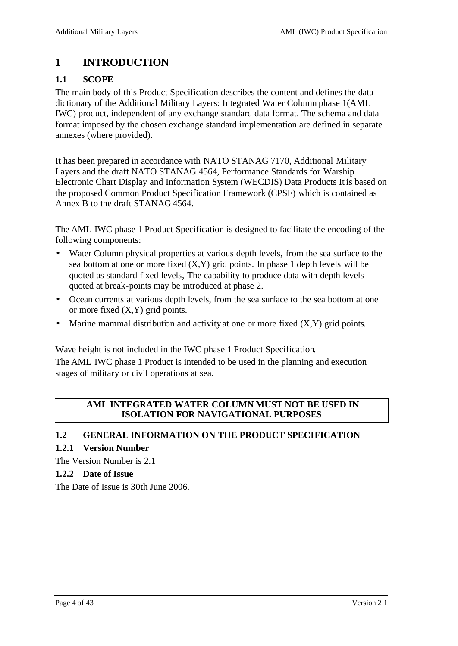# **1 INTRODUCTION**

# **1.1 SCOPE**

The main body of this Product Specification describes the content and defines the data dictionary of the Additional Military Layers: Integrated Water Column phase 1(AML IWC) product, independent of any exchange standard data format. The schema and data format imposed by the chosen exchange standard implementation are defined in separate annexes (where provided).

It has been prepared in accordance with NATO STANAG 7170, Additional Military Layers and the draft NATO STANAG 4564, Performance Standards for Warship Electronic Chart Display and Information System (WECDIS) Data Products It is based on the proposed Common Product Specification Framework (CPSF) which is contained as Annex B to the draft STANAG 4564.

The AML IWC phase 1 Product Specification is designed to facilitate the encoding of the following components:

- Water Column physical properties at various depth levels, from the sea surface to the sea bottom at one or more fixed (X,Y) grid points. In phase 1 depth levels will be quoted as standard fixed levels, The capability to produce data with depth levels quoted at break-points may be introduced at phase 2.
- Ocean currents at various depth levels, from the sea surface to the sea bottom at one or more fixed (X,Y) grid points.
- Marine mammal distribution and activity at one or more fixed  $(X, Y)$  grid points.

Wave height is not included in the IWC phase 1 Product Specification.

The AML IWC phase 1 Product is intended to be used in the planning and execution stages of military or civil operations at sea.

#### **AML INTEGRATED WATER COLUMN MUST NOT BE USED IN ISOLATION FOR NAVIGATIONAL PURPOSES**

#### **1.2 GENERAL INFORMATION ON THE PRODUCT SPECIFICATION**

#### **1.2.1 Version Number**

The Version Number is 2.1

#### **1.2.2 Date of Issue**

The Date of Issue is 30th June 2006.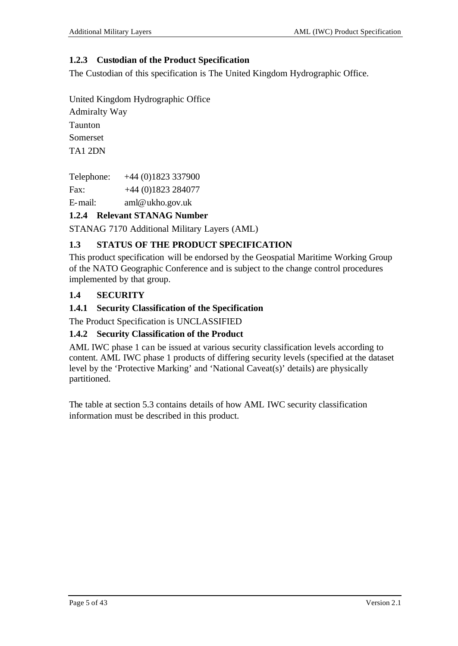### **1.2.3 Custodian of the Product Specification**

The Custodian of this specification is The United Kingdom Hydrographic Office.

United Kingdom Hydrographic Office

Admiralty Way Taunton Somerset TA1 2DN

Telephone: +44 (0)1823 337900 Fax: +44 (0)1823 284077

E-mail: aml@ukho.gov.uk

# **1.2.4 Relevant STANAG Number**

STANAG 7170 Additional Military Layers (AML)

# **1.3 STATUS OF THE PRODUCT SPECIFICATION**

This product specification will be endorsed by the Geospatial Maritime Working Group of the NATO Geographic Conference and is subject to the change control procedures implemented by that group.

# **1.4 SECURITY**

# **1.4.1 Security Classification of the Specification**

The Product Specification is UNCLASSIFIED

#### **1.4.2 Security Classification of the Product**

AML IWC phase 1 can be issued at various security classification levels according to content. AML IWC phase 1 products of differing security levels (specified at the dataset level by the 'Protective Marking' and 'National Caveat(s)' details) are physically partitioned.

The table at section 5.3 contains details of how AML IWC security classification information must be described in this product.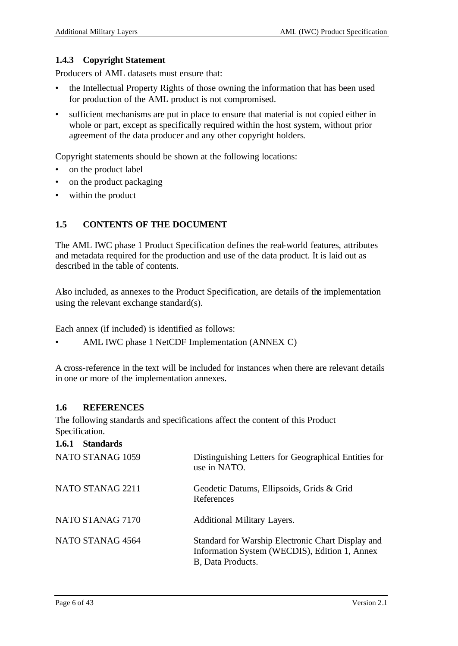#### **1.4.3 Copyright Statement**

Producers of AML datasets must ensure that:

- the Intellectual Property Rights of those owning the information that has been used for production of the AML product is not compromised.
- sufficient mechanisms are put in place to ensure that material is not copied either in whole or part, except as specifically required within the host system, without prior agreement of the data producer and any other copyright holders.

Copyright statements should be shown at the following locations:

- on the product label
- on the product packaging
- within the product

### **1.5 CONTENTS OF THE DOCUMENT**

The AML IWC phase 1 Product Specification defines the real-world features, attributes and metadata required for the production and use of the data product. It is laid out as described in the table of contents.

Also included, as annexes to the Product Specification, are details of the implementation using the relevant exchange standard(s).

Each annex (if included) is identified as follows:

• AML IWC phase 1 NetCDF Implementation (ANNEX C)

A cross-reference in the text will be included for instances when there are relevant details in one or more of the implementation annexes.

#### **1.6 REFERENCES**

The following standards and specifications affect the content of this Product Specification.

#### **1.6.1 Standards**

| NATO STANAG 1059 | Distinguishing Letters for Geographical Entities for<br>use in NATO.                                                    |
|------------------|-------------------------------------------------------------------------------------------------------------------------|
| NATO STANAG 2211 | Geodetic Datums, Ellipsoids, Grids & Grid<br>References                                                                 |
| NATO STANAG 7170 | <b>Additional Military Layers.</b>                                                                                      |
| NATO STANAG 4564 | Standard for Warship Electronic Chart Display and<br>Information System (WECDIS), Edition 1, Annex<br>B, Data Products. |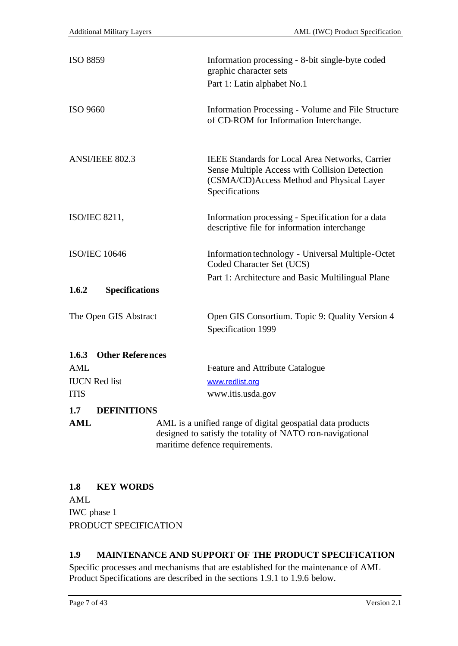| <b>ISO 8859</b>                  | Information processing - 8-bit single-byte coded<br>graphic character sets<br>Part 1: Latin alphabet No.1                                                        |
|----------------------------------|------------------------------------------------------------------------------------------------------------------------------------------------------------------|
| ISO 9660                         | Information Processing - Volume and File Structure<br>of CD-ROM for Information Interchange.                                                                     |
| ANSI/IEEE 802.3                  | IEEE Standards for Local Area Networks, Carrier<br>Sense Multiple Access with Collision Detection<br>(CSMA/CD)Access Method and Physical Layer<br>Specifications |
| ISO/IEC 8211,                    | Information processing - Specification for a data<br>descriptive file for information interchange                                                                |
| <b>ISO/IEC 10646</b>             | Information technology - Universal Multiple-Octet<br>Coded Character Set (UCS)                                                                                   |
| 1.6.2<br><b>Specifications</b>   | Part 1: Architecture and Basic Multilingual Plane                                                                                                                |
| The Open GIS Abstract            | Open GIS Consortium. Topic 9: Quality Version 4<br>Specification 1999                                                                                            |
| <b>Other References</b><br>1.6.3 |                                                                                                                                                                  |
| <b>AML</b>                       | Feature and Attribute Catalogue                                                                                                                                  |
| <b>IUCN</b> Red list             | www.redlist.org                                                                                                                                                  |
| <b>ITIS</b>                      | www.itis.usda.gov                                                                                                                                                |
| <b>DEFINITIONS</b><br>1.7        |                                                                                                                                                                  |
| <b>AML</b>                       | AML is a unified range of digital geospatial data products<br>designed to satisfy the totality of NATO non-navigational<br>maritime defence requirements.        |

# **1.8 KEY WORDS**

AML IWC phase 1 PRODUCT SPECIFICATION

# **1.9 MAINTENANCE AND SUPPORT OF THE PRODUCT SPECIFICATION**

Specific processes and mechanisms that are established for the maintenance of AML Product Specifications are described in the sections 1.9.1 to 1.9.6 below.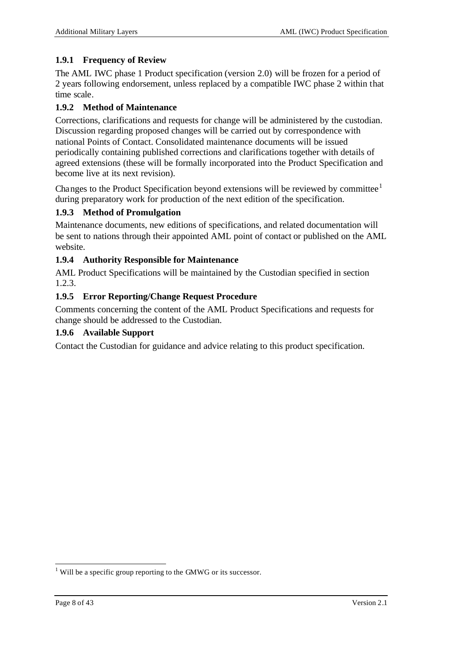### **1.9.1 Frequency of Review**

The AML IWC phase 1 Product specification (version 2.0) will be frozen for a period of 2 years following endorsement, unless replaced by a compatible IWC phase 2 within that time scale.

#### **1.9.2 Method of Maintenance**

Corrections, clarifications and requests for change will be administered by the custodian. Discussion regarding proposed changes will be carried out by correspondence with national Points of Contact. Consolidated maintenance documents will be issued periodically containing published corrections and clarifications together with details of agreed extensions (these will be formally incorporated into the Product Specification and become live at its next revision).

Changes to the Product Specification beyond extensions will be reviewed by committee<sup>1</sup> during preparatory work for production of the next edition of the specification.

#### **1.9.3 Method of Promulgation**

Maintenance documents, new editions of specifications, and related documentation will be sent to nations through their appointed AML point of contact or published on the AML website.

#### **1.9.4 Authority Responsible for Maintenance**

AML Product Specifications will be maintained by the Custodian specified in section 1.2.3.

#### **1.9.5 Error Reporting/Change Request Procedure**

Comments concerning the content of the AML Product Specifications and requests for change should be addressed to the Custodian.

#### **1.9.6 Available Support**

Contact the Custodian for guidance and advice relating to this product specification.

 $1$  Will be a specific group reporting to the GMWG or its successor.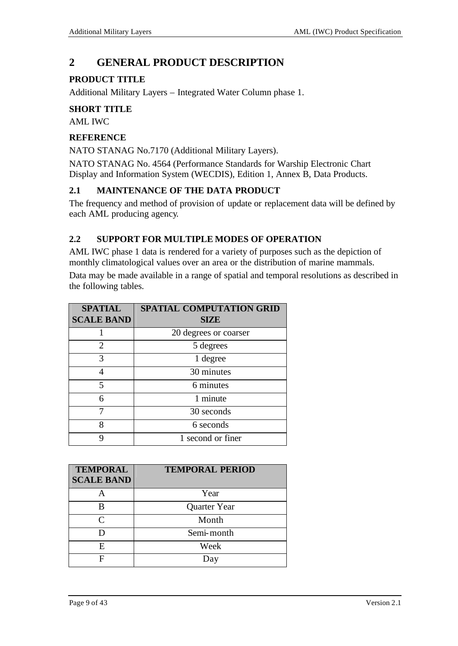# **2 GENERAL PRODUCT DESCRIPTION**

#### **PRODUCT TITLE**

Additional Military Layers – Integrated Water Column phase 1.

#### **SHORT TITLE**

AML IWC

#### **REFERENCE**

NATO STANAG No.7170 (Additional Military Layers).

NATO STANAG No. 4564 (Performance Standards for Warship Electronic Chart Display and Information System (WECDIS), Edition 1, Annex B, Data Products.

#### **2.1 MAINTENANCE OF THE DATA PRODUCT**

The frequency and method of provision of update or replacement data will be defined by each AML producing agency.

#### **2.2 SUPPORT FOR MULTIPLE MODES OF OPERATION**

AML IWC phase 1 data is rendered for a variety of purposes such as the depiction of monthly climatological values over an area or the distribution of marine mammals.

Data may be made available in a range of spatial and temporal resolutions as described in the following tables.

| <b>SPATIAL</b><br><b>SCALE BAND</b> | <b>SPATIAL COMPUTATION GRID</b><br><b>SIZE</b> |
|-------------------------------------|------------------------------------------------|
|                                     | 20 degrees or coarser                          |
| 2                                   | 5 degrees                                      |
| 3                                   | 1 degree                                       |
|                                     | 30 minutes                                     |
| 5                                   | 6 minutes                                      |
| 6                                   | 1 minute                                       |
|                                     | 30 seconds                                     |
| 8                                   | 6 seconds                                      |
|                                     | 1 second or finer                              |

| <b>TEMPORAL</b><br><b>SCALE BAND</b> | <b>TEMPORAL PERIOD</b> |
|--------------------------------------|------------------------|
|                                      | Year                   |
| R                                    | Quarter Year           |
| $\subset$                            | Month                  |
|                                      | Semi-month             |
| E                                    | Week                   |
|                                      | Day                    |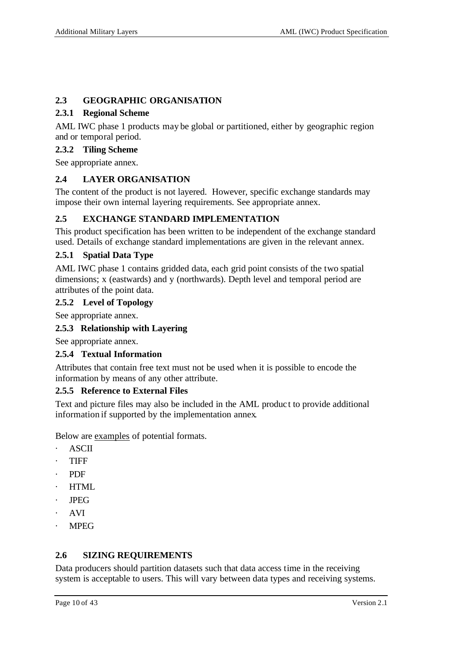### **2.3 GEOGRAPHIC ORGANISATION**

#### **2.3.1 Regional Scheme**

AML IWC phase 1 products may be global or partitioned, either by geographic region and or temporal period.

#### **2.3.2 Tiling Scheme**

See appropriate annex.

# **2.4 LAYER ORGANISATION**

The content of the product is not layered. However, specific exchange standards may impose their own internal layering requirements. See appropriate annex.

# **2.5 EXCHANGE STANDARD IMPLEMENTATION**

This product specification has been written to be independent of the exchange standard used. Details of exchange standard implementations are given in the relevant annex.

### **2.5.1 Spatial Data Type**

AML IWC phase 1 contains gridded data, each grid point consists of the two spatial dimensions; x (eastwards) and y (northwards). Depth level and temporal period are attributes of the point data.

#### **2.5.2 Level of Topology**

See appropriate annex.

# **2.5.3 Relationship with Layering**

See appropriate annex.

#### **2.5.4 Textual Information**

Attributes that contain free text must not be used when it is possible to encode the information by means of any other attribute.

#### **2.5.5 Reference to External Files**

Text and picture files may also be included in the AML produc t to provide additional information if supported by the implementation annex.

Below are examples of potential formats.

- **ASCII**
- · TIFF
- · PDF
- · HTML
- · JPEG
- · AVI
- · MPEG

# **2.6 SIZING REQUIREMENTS**

Data producers should partition datasets such that data access time in the receiving system is acceptable to users. This will vary between data types and receiving systems.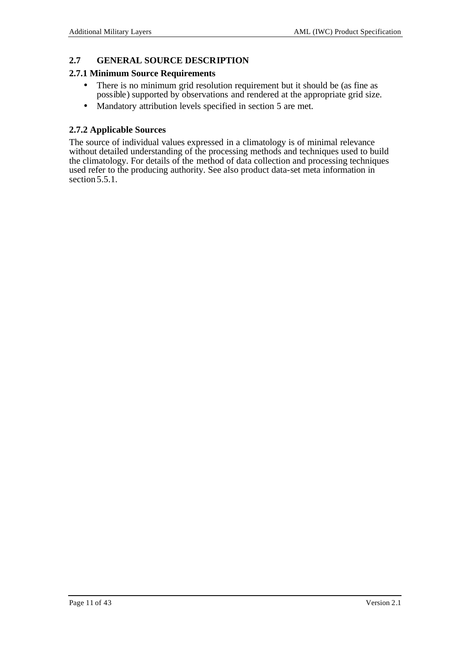#### **2.7 GENERAL SOURCE DESCRIPTION**

#### **2.7.1 Minimum Source Requirements**

- There is no minimum grid resolution requirement but it should be (as fine as possible) supported by observations and rendered at the appropriate grid size.
- Mandatory attribution levels specified in section 5 are met.

#### **2.7.2 Applicable Sources**

The source of individual values expressed in a climatology is of minimal relevance without detailed understanding of the processing methods and techniques used to build the climatology. For details of the method of data collection and processing techniques used refer to the producing authority. See also product data-set meta information in section 5.5.1.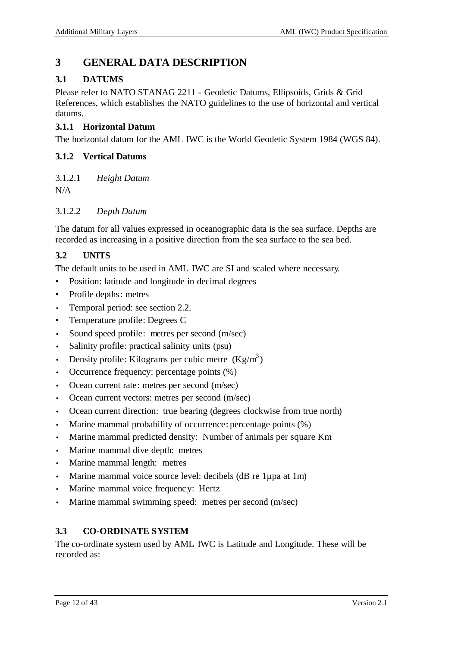# **3 GENERAL DATA DESCRIPTION**

# **3.1 DATUMS**

Please refer to NATO STANAG 2211 - Geodetic Datums, Ellipsoids, Grids & Grid References, which establishes the NATO guidelines to the use of horizontal and vertical datums.

### **3.1.1 Horizontal Datum**

The horizontal datum for the AML IWC is the World Geodetic System 1984 (WGS 84).

### **3.1.2 Vertical Datums**

3.1.2.1 *Height Datum*

N/A

### 3.1.2.2 *Depth Datum*

The datum for all values expressed in oceanographic data is the sea surface. Depths are recorded as increasing in a positive direction from the sea surface to the sea bed.

# **3.2 UNITS**

The default units to be used in AML IWC are SI and scaled where necessary.

- Position: latitude and longitude in decimal degrees
- Profile depths: metres
- Temporal period: see section 2.2.
- Temperature profile: Degrees C
- Sound speed profile: metres per second (m/sec)
- Salinity profile: practical salinity units (psu)
- Density profile: Kilograms per cubic metre  $(Kg/m^3)$
- Occurrence frequency: percentage points (%)
- Ocean current rate: metres per second (m/sec)
- Ocean current vectors: metres per second (m/sec)
- Ocean current direction: true bearing (degrees clockwise from true north)
- Marine mammal probability of occurrence: percentage points  $(\%)$
- Marine mammal predicted density: Number of animals per square Km
- Marine mammal dive depth: metres
- Marine mammal length: metres
- Marine mammal voice source level: decibels (dB re 1µpa at 1m)
- Marine mammal voice frequency: Hertz
- Marine mammal swimming speed: metres per second (m/sec)

# **3.3 CO-ORDINATE SYSTEM**

The co-ordinate system used by AML IWC is Latitude and Longitude. These will be recorded as: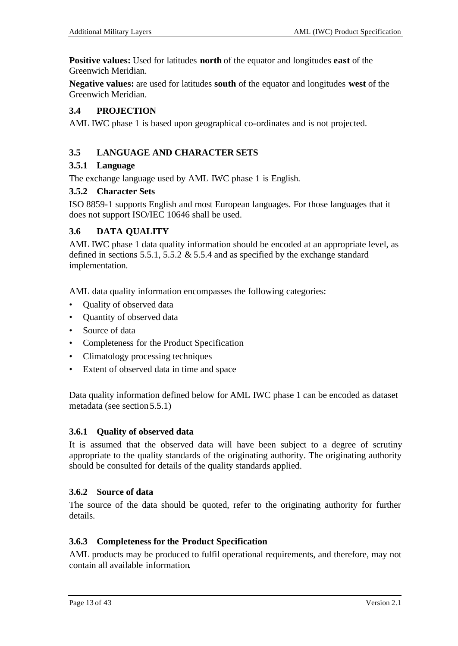**Positive values:** Used for latitudes **north** of the equator and longitudes **east** of the Greenwich Meridian.

**Negative values:** are used for latitudes **south** of the equator and longitudes **west** of the Greenwich Meridian.

#### **3.4 PROJECTION**

AML IWC phase 1 is based upon geographical co-ordinates and is not projected.

#### **3.5 LANGUAGE AND CHARACTER SETS**

#### **3.5.1 Language**

The exchange language used by AML IWC phase 1 is English.

#### **3.5.2 Character Sets**

ISO 8859-1 supports English and most European languages. For those languages that it does not support ISO/IEC 10646 shall be used.

#### **3.6 DATA QUALITY**

AML IWC phase 1 data quality information should be encoded at an appropriate level, as defined in sections 5.5.1, 5.5.2 & 5.5.4 and as specified by the exchange standard implementation.

AML data quality information encompasses the following categories:

- Quality of observed data
- Quantity of observed data
- Source of data
- Completeness for the Product Specification
- Climatology processing techniques
- Extent of observed data in time and space

Data quality information defined below for AML IWC phase 1 can be encoded as dataset metadata (see section 5.5.1)

#### **3.6.1 Quality of observed data**

It is assumed that the observed data will have been subject to a degree of scrutiny appropriate to the quality standards of the originating authority. The originating authority should be consulted for details of the quality standards applied.

#### **3.6.2 Source of data**

The source of the data should be quoted, refer to the originating authority for further details.

#### **3.6.3 Completeness for the Product Specification**

AML products may be produced to fulfil operational requirements, and therefore, may not contain all available information.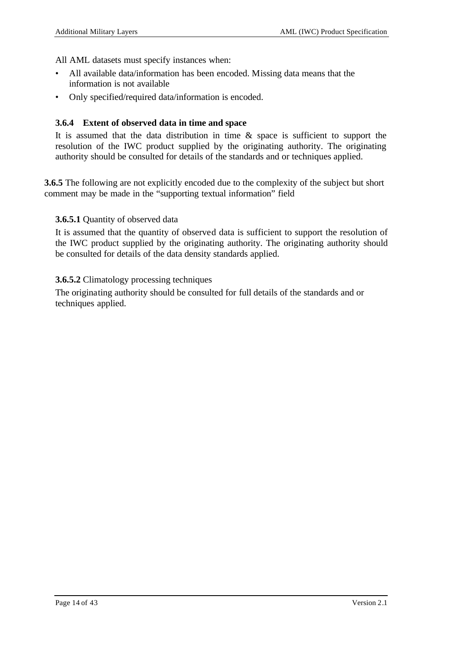All AML datasets must specify instances when:

- All available data/information has been encoded. Missing data means that the information is not available
- Only specified/required data/information is encoded.

#### **3.6.4 Extent of observed data in time and space**

It is assumed that the data distribution in time & space is sufficient to support the resolution of the IWC product supplied by the originating authority. The originating authority should be consulted for details of the standards and or techniques applied.

**3.6.5** The following are not explicitly encoded due to the complexity of the subject but short comment may be made in the "supporting textual information" field

#### **3.6.5.1** Quantity of observed data

It is assumed that the quantity of observed data is sufficient to support the resolution of the IWC product supplied by the originating authority. The originating authority should be consulted for details of the data density standards applied.

#### **3.6.5.2** Climatology processing techniques

The originating authority should be consulted for full details of the standards and or techniques applied.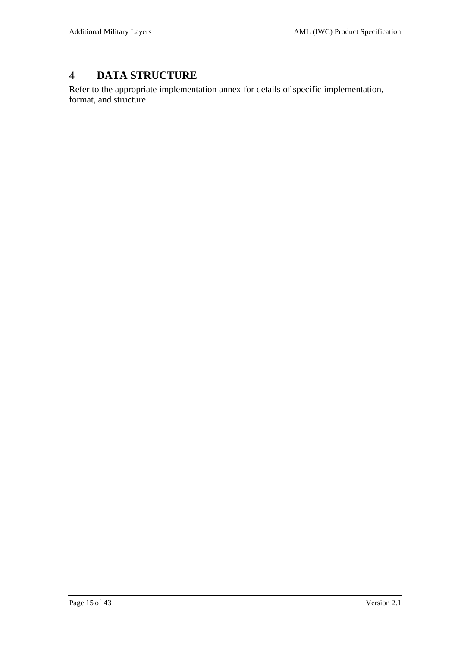# 4 **DATA STRUCTURE**

Refer to the appropriate implementation annex for details of specific implementation, format, and structure.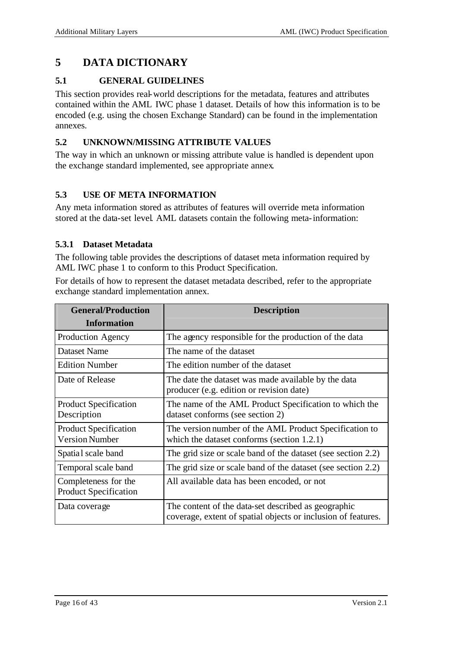# **5 DATA DICTIONARY**

### **5.1 GENERAL GUIDELINES**

This section provides real-world descriptions for the metadata, features and attributes contained within the AML IWC phase 1 dataset. Details of how this information is to be encoded (e.g. using the chosen Exchange Standard) can be found in the implementation annexes.

### **5.2 UNKNOWN/MISSING ATTRIBUTE VALUES**

The way in which an unknown or missing attribute value is handled is dependent upon the exchange standard implemented, see appropriate annex.

# **5.3 USE OF META INFORMATION**

Any meta information stored as attributes of features will override meta information stored at the data-set level. AML datasets contain the following meta-information:

#### **5.3.1 Dataset Metadata**

The following table provides the descriptions of dataset meta information required by AML IWC phase 1 to conform to this Product Specification.

For details of how to represent the dataset metadata described, refer to the appropriate exchange standard implementation annex.

| <b>General/Production</b><br><b>Information</b>       | <b>Description</b>                                                                                                   |
|-------------------------------------------------------|----------------------------------------------------------------------------------------------------------------------|
|                                                       |                                                                                                                      |
| Production Agency                                     | The agency responsible for the production of the data                                                                |
| <b>Dataset Name</b>                                   | The name of the dataset                                                                                              |
| <b>Edition Number</b>                                 | The edition number of the dataset                                                                                    |
| Date of Release                                       | The date the dataset was made available by the data<br>producer (e.g. edition or revision date)                      |
| <b>Product Specification</b><br>Description           | The name of the AML Product Specification to which the<br>dataset conforms (see section 2)                           |
| <b>Product Specification</b><br><b>Version Number</b> | The version number of the AML Product Specification to<br>which the dataset conforms (section 1.2.1)                 |
| Spatial scale band                                    | The grid size or scale band of the dataset (see section 2.2)                                                         |
| Temporal scale band                                   | The grid size or scale band of the dataset (see section 2.2)                                                         |
| Completeness for the<br><b>Product Specification</b>  | All available data has been encoded, or not                                                                          |
| Data coverage                                         | The content of the data-set described as geographic<br>coverage, extent of spatial objects or inclusion of features. |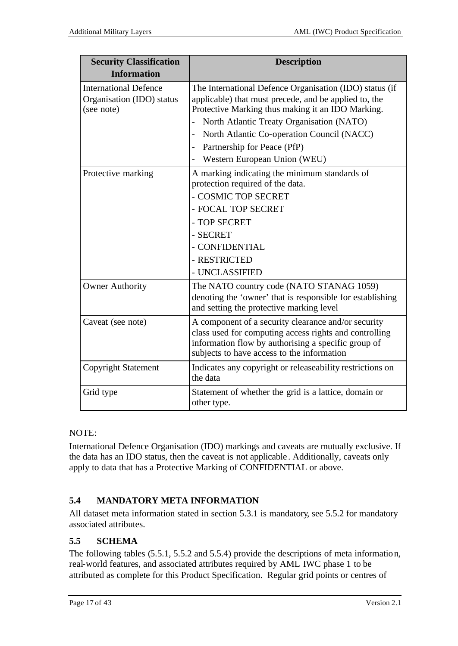| <b>Security Classification</b><br><b>Information</b>                    | <b>Description</b>                                                                                                                                                                                                 |
|-------------------------------------------------------------------------|--------------------------------------------------------------------------------------------------------------------------------------------------------------------------------------------------------------------|
| <b>International Defence</b><br>Organisation (IDO) status<br>(see note) | The International Defence Organisation (IDO) status (if<br>applicable) that must precede, and be applied to, the<br>Protective Marking thus making it an IDO Marking.                                              |
|                                                                         | North Atlantic Treaty Organisation (NATO)<br>$\blacksquare$                                                                                                                                                        |
|                                                                         | North Atlantic Co-operation Council (NACC)<br>$\overline{a}$<br>Partnership for Peace (PfP)                                                                                                                        |
|                                                                         | Western European Union (WEU)                                                                                                                                                                                       |
| Protective marking                                                      | A marking indicating the minimum standards of<br>protection required of the data.                                                                                                                                  |
|                                                                         | - COSMIC TOP SECRET                                                                                                                                                                                                |
|                                                                         | - FOCAL TOP SECRET                                                                                                                                                                                                 |
|                                                                         | - TOP SECRET                                                                                                                                                                                                       |
|                                                                         | - SECRET                                                                                                                                                                                                           |
|                                                                         | - CONFIDENTIAL                                                                                                                                                                                                     |
|                                                                         | - RESTRICTED                                                                                                                                                                                                       |
|                                                                         | - UNCLASSIFIED                                                                                                                                                                                                     |
| <b>Owner Authority</b>                                                  | The NATO country code (NATO STANAG 1059)<br>denoting the 'owner' that is responsible for establishing<br>and setting the protective marking level                                                                  |
| Caveat (see note)                                                       | A component of a security clearance and/or security<br>class used for computing access rights and controlling<br>information flow by authorising a specific group of<br>subjects to have access to the information |
| <b>Copyright Statement</b>                                              | Indicates any copyright or releaseability restrictions on<br>the data                                                                                                                                              |
| Grid type                                                               | Statement of whether the grid is a lattice, domain or<br>other type.                                                                                                                                               |

#### NOTE:

International Defence Organisation (IDO) markings and caveats are mutually exclusive. If the data has an IDO status, then the caveat is not applicable . Additionally, caveats only apply to data that has a Protective Marking of CONFIDENTIAL or above.

# **5.4 MANDATORY META INFORMATION**

All dataset meta information stated in section 5.3.1 is mandatory, see 5.5.2 for mandatory associated attributes.

# **5.5 SCHEMA**

The following tables (5.5.1, 5.5.2 and 5.5.4) provide the descriptions of meta information, real-world features, and associated attributes required by AML IWC phase 1 to be attributed as complete for this Product Specification. Regular grid points or centres of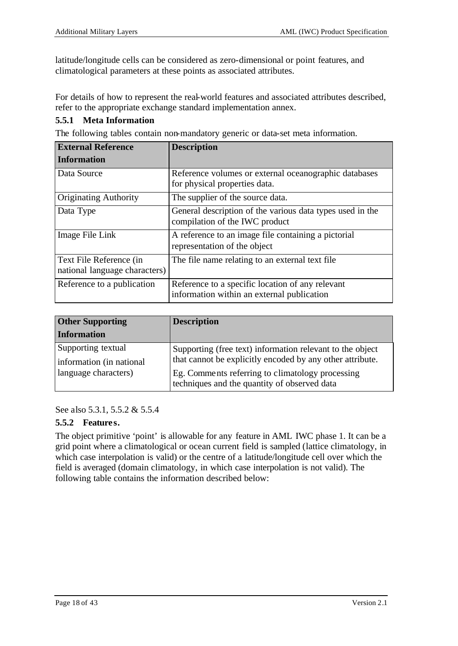latitude/longitude cells can be considered as zero-dimensional or point features, and climatological parameters at these points as associated attributes.

For details of how to represent the real-world features and associated attributes described, refer to the appropriate exchange standard implementation annex.

#### **5.5.1 Meta Information**

The following tables contain non-mandatory generic or data-set meta information.

| <b>External Reference</b>                                | <b>Description</b>                                                                             |
|----------------------------------------------------------|------------------------------------------------------------------------------------------------|
| <b>Information</b>                                       |                                                                                                |
| Data Source                                              | Reference volumes or external oceanographic databases<br>for physical properties data.         |
| <b>Originating Authority</b>                             | The supplier of the source data.                                                               |
| Data Type                                                | General description of the various data types used in the<br>compilation of the IWC product    |
| Image File Link                                          | A reference to an image file containing a pictorial<br>representation of the object            |
| Text File Reference (in<br>national language characters) | The file name relating to an external text file.                                               |
| Reference to a publication                               | Reference to a specific location of any relevant<br>information within an external publication |

| <b>Other Supporting</b>                                                | <b>Description</b>                                                                                                                                                                                                         |
|------------------------------------------------------------------------|----------------------------------------------------------------------------------------------------------------------------------------------------------------------------------------------------------------------------|
| <b>Information</b>                                                     |                                                                                                                                                                                                                            |
| Supporting textual<br>information (in national<br>language characters) | Supporting (free text) information relevant to the object<br>that cannot be explicitly encoded by any other attribute.<br>Eg. Comments referring to climatology processing<br>techniques and the quantity of observed data |

See also 5.3.1, 5.5.2 & 5.5.4

#### **5.5.2 Features.**

The object primitive 'point' is allowable for any feature in AML IWC phase 1. It can be a grid point where a climatological or ocean current field is sampled (lattice climatology, in which case interpolation is valid) or the centre of a latitude/longitude cell over which the field is averaged (domain climatology, in which case interpolation is not valid). The following table contains the information described below: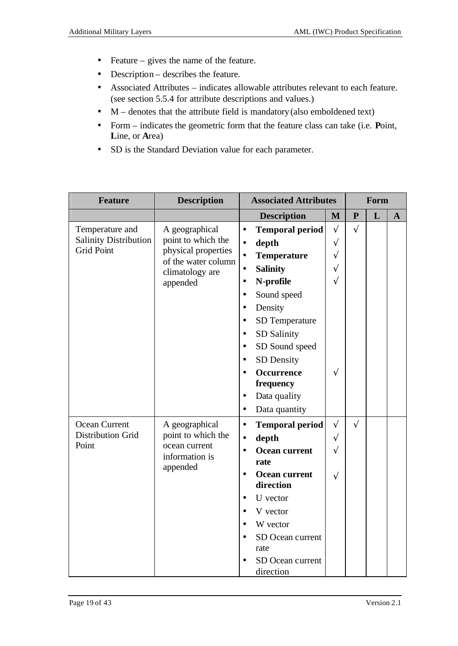- Feature gives the name of the feature.
- Description describes the feature.
- Associated Attributes indicates allowable attributes relevant to each feature. (see section 5.5.4 for attribute descriptions and values.)
- M denotes that the attribute field is mandatory (also emboldened text)
- Form indicates the geometric form that the feature class can take (i.e. **P**oint, **L**ine, or **A**rea)
- SD is the Standard Deviation value for each parameter.

| <b>Feature</b>                                    | <b>Description</b>                        | <b>Associated Attributes</b>                   |           |              | Form |              |
|---------------------------------------------------|-------------------------------------------|------------------------------------------------|-----------|--------------|------|--------------|
|                                                   |                                           | <b>Description</b>                             | M         | $\mathbf{P}$ | L    | $\mathbf{A}$ |
| Temperature and                                   | A geographical                            | <b>Temporal period</b><br>$\bullet$            | $\sqrt{}$ | $\sqrt{}$    |      |              |
| <b>Salinity Distribution</b><br><b>Grid Point</b> | point to which the<br>physical properties | depth<br>$\bullet$                             | $\sqrt{}$ |              |      |              |
|                                                   | of the water column                       | <b>Temperature</b><br>$\bullet$                | $\sqrt{}$ |              |      |              |
|                                                   | climatology are                           | <b>Salinity</b><br>$\bullet$                   | $\sqrt{}$ |              |      |              |
|                                                   | appended                                  | N-profile<br>$\bullet$                         | $\sqrt{}$ |              |      |              |
|                                                   |                                           | Sound speed<br>$\bullet$                       |           |              |      |              |
|                                                   |                                           | Density<br>$\bullet$                           |           |              |      |              |
|                                                   |                                           | SD Temperature                                 |           |              |      |              |
|                                                   |                                           | SD Salinity                                    |           |              |      |              |
|                                                   |                                           | SD Sound speed<br>$\bullet$                    |           |              |      |              |
|                                                   |                                           | <b>SD</b> Density                              |           |              |      |              |
|                                                   |                                           | <b>Occurrence</b>                              | $\sqrt{}$ |              |      |              |
|                                                   |                                           | frequency                                      |           |              |      |              |
|                                                   |                                           | Data quality<br>$\bullet$                      |           |              |      |              |
|                                                   |                                           | Data quantity<br>$\bullet$                     |           |              |      |              |
| Ocean Current                                     | A geographical                            | <b>Temporal period</b><br>$\bullet$            | $\sqrt{}$ | $\sqrt{}$    |      |              |
| <b>Distribution Grid</b><br>Point                 | point to which the<br>ocean current       | depth<br>$\bullet$                             | $\sqrt{}$ |              |      |              |
|                                                   | information is                            | <b>Ocean current</b><br>$\bullet$              | $\sqrt{}$ |              |      |              |
|                                                   | appended                                  | rate                                           |           |              |      |              |
|                                                   |                                           | <b>Ocean current</b><br>$\bullet$<br>direction | $\sqrt{}$ |              |      |              |
|                                                   |                                           | U vector<br>$\bullet$                          |           |              |      |              |
|                                                   |                                           |                                                |           |              |      |              |
|                                                   |                                           | V vector<br>$\bullet$                          |           |              |      |              |
|                                                   |                                           | W vector                                       |           |              |      |              |
|                                                   |                                           | SD Ocean current<br>rate                       |           |              |      |              |
|                                                   |                                           | SD Ocean current                               |           |              |      |              |
|                                                   |                                           | direction                                      |           |              |      |              |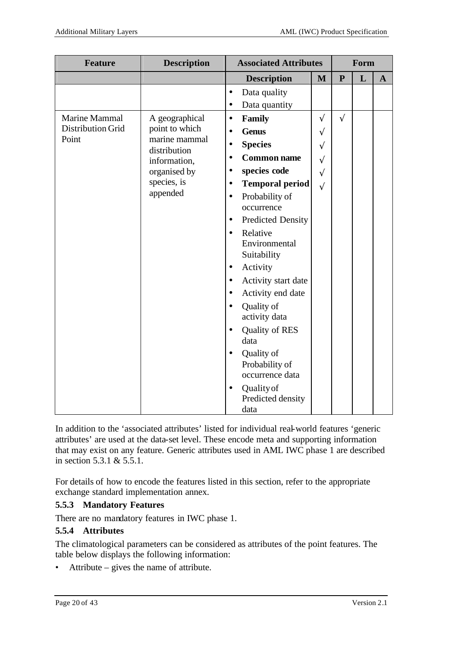| <b>Feature</b>           | <b>Description</b>            | <b>Associated Attributes</b> |                             |              |              | Form |              |
|--------------------------|-------------------------------|------------------------------|-----------------------------|--------------|--------------|------|--------------|
|                          |                               |                              | <b>Description</b>          | $\mathbf{M}$ | $\mathbf{P}$ | L    | $\mathbf{A}$ |
|                          |                               | $\bullet$                    | Data quality                |              |              |      |              |
|                          |                               | $\bullet$                    | Data quantity               |              |              |      |              |
| Marine Mammal            | A geographical                | $\bullet$                    | Family                      | $\sqrt{}$    | $\sqrt{ }$   |      |              |
| <b>Distribution Grid</b> | point to which                | $\bullet$                    | <b>Genus</b>                | $\sqrt{}$    |              |      |              |
| Point                    | marine mammal<br>distribution | $\bullet$                    | <b>Species</b>              | $\sqrt{}$    |              |      |              |
|                          | information,                  | $\bullet$                    | <b>Common name</b>          | $\sqrt{}$    |              |      |              |
|                          | organised by                  | $\bullet$                    | species code                | $\sqrt{}$    |              |      |              |
|                          | species, is                   | $\bullet$                    | <b>Temporal period</b>      | $\sqrt{}$    |              |      |              |
|                          | appended                      | $\bullet$                    | Probability of              |              |              |      |              |
|                          |                               |                              | occurrence                  |              |              |      |              |
|                          |                               | $\bullet$                    | <b>Predicted Density</b>    |              |              |      |              |
|                          |                               | $\bullet$                    | Relative                    |              |              |      |              |
|                          |                               |                              | Environmental               |              |              |      |              |
|                          |                               |                              | Suitability                 |              |              |      |              |
|                          |                               | $\bullet$                    | Activity                    |              |              |      |              |
|                          |                               | $\bullet$                    | Activity start date         |              |              |      |              |
|                          |                               |                              | Activity end date           |              |              |      |              |
|                          |                               | $\bullet$                    | Quality of<br>activity data |              |              |      |              |
|                          |                               | $\bullet$                    | <b>Quality of RES</b>       |              |              |      |              |
|                          |                               |                              | data                        |              |              |      |              |
|                          |                               | $\bullet$                    | Quality of                  |              |              |      |              |
|                          |                               |                              | Probability of              |              |              |      |              |
|                          |                               |                              | occurrence data             |              |              |      |              |
|                          |                               | $\bullet$                    | Quality of                  |              |              |      |              |
|                          |                               |                              | Predicted density           |              |              |      |              |
|                          |                               |                              | data                        |              |              |      |              |

In addition to the 'associated attributes' listed for individual real-world features 'generic attributes' are used at the data-set level. These encode meta and supporting information that may exist on any feature. Generic attributes used in AML IWC phase 1 are described in section 5.3.1 & 5.5.1.

For details of how to encode the features listed in this section, refer to the appropriate exchange standard implementation annex.

# **5.5.3 Mandatory Features**

There are no mandatory features in IWC phase 1.

# **5.5.4 Attributes**

The climatological parameters can be considered as attributes of the point features. The table below displays the following information:

• Attribute – gives the name of attribute.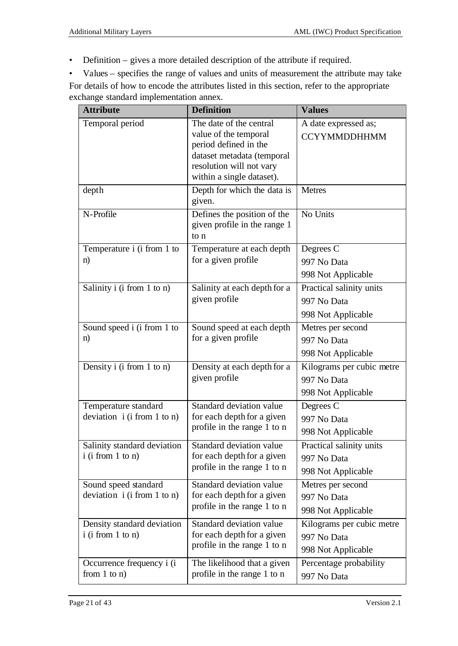• Definition – gives a more detailed description of the attribute if required.

• Values – specifies the range of values and units of measurement the attribute may take For details of how to encode the attributes listed in this section, refer to the appropriate exchange standard implementation annex.

| <b>Attribute</b>              | <b>Definition</b>                                | <b>Values</b>             |
|-------------------------------|--------------------------------------------------|---------------------------|
| Temporal period               | The date of the central<br>value of the temporal | A date expressed as;      |
|                               | period defined in the                            | <b>CCYYMMDDHHMM</b>       |
|                               | dataset metadata (temporal                       |                           |
|                               | resolution will not vary                         |                           |
|                               | within a single dataset).                        |                           |
| depth                         | Depth for which the data is<br>given.            | <b>Metres</b>             |
| N-Profile                     | Defines the position of the                      | No Units                  |
|                               | given profile in the range 1                     |                           |
|                               | to n                                             |                           |
| Temperature i (i from 1 to    | Temperature at each depth                        | Degrees C                 |
| n)                            | for a given profile                              | 997 No Data               |
|                               |                                                  | 998 Not Applicable        |
| Salinity i (i from 1 to n)    | Salinity at each depth for a                     | Practical salinity units  |
|                               | given profile                                    | 997 No Data               |
|                               |                                                  | 998 Not Applicable        |
| Sound speed i (i from 1 to    | Sound speed at each depth                        | Metres per second         |
| n)                            | for a given profile                              | 997 No Data               |
|                               |                                                  | 998 Not Applicable        |
| Density $i$ (i from 1 to n)   | Density at each depth for a                      | Kilograms per cubic metre |
|                               | given profile                                    | 997 No Data               |
|                               |                                                  | 998 Not Applicable        |
| Temperature standard          | Standard deviation value                         | Degrees C                 |
| deviation $i$ (i from 1 to n) | for each depth for a given                       | 997 No Data               |
|                               | profile in the range 1 to n                      | 998 Not Applicable        |
| Salinity standard deviation   | Standard deviation value                         | Practical salinity units  |
| $i$ (i from 1 to n)           | for each depth for a given                       | 997 No Data               |
|                               | profile in the range 1 to n                      | 998 Not Applicable        |
| Sound speed standard          | Standard deviation value                         | Metres per second         |
| deviation i (i from 1 to n)   | for each depth for a given                       | 997 No Data               |
|                               | profile in the range 1 to n                      | 998 Not Applicable        |
| Density standard deviation    | Standard deviation value                         | Kilograms per cubic metre |
| $i$ (i from 1 to n)           | for each depth for a given                       | 997 No Data               |
|                               | profile in the range 1 to n                      | 998 Not Applicable        |
| Occurrence frequency i (i)    | The likelihood that a given                      | Percentage probability    |
| from $1$ to $n$ )             | profile in the range 1 to n                      | 997 No Data               |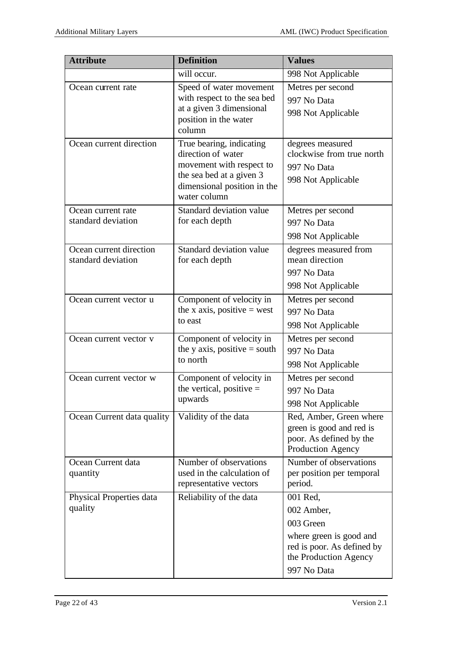| <b>Attribute</b>                              | <b>Definition</b>                                                                                                                                     | <b>Values</b>                                                                                                                        |
|-----------------------------------------------|-------------------------------------------------------------------------------------------------------------------------------------------------------|--------------------------------------------------------------------------------------------------------------------------------------|
|                                               | will occur.                                                                                                                                           | 998 Not Applicable                                                                                                                   |
| Ocean current rate                            | Speed of water movement<br>with respect to the sea bed<br>at a given 3 dimensional<br>position in the water<br>column                                 | Metres per second<br>997 No Data<br>998 Not Applicable                                                                               |
| Ocean current direction                       | True bearing, indicating<br>direction of water<br>movement with respect to<br>the sea bed at a given 3<br>dimensional position in the<br>water column | degrees measured<br>clockwise from true north<br>997 No Data<br>998 Not Applicable                                                   |
| Ocean current rate<br>standard deviation      | Standard deviation value<br>for each depth                                                                                                            | Metres per second<br>997 No Data<br>998 Not Applicable                                                                               |
| Ocean current direction<br>standard deviation | Standard deviation value<br>for each depth                                                                                                            | degrees measured from<br>mean direction<br>997 No Data<br>998 Not Applicable                                                         |
| Ocean current vector u                        | Component of velocity in<br>the x axis, positive $=$ west<br>to east                                                                                  | Metres per second<br>997 No Data<br>998 Not Applicable                                                                               |
| Ocean current vector v                        | Component of velocity in<br>the y axis, positive $=$ south<br>to north                                                                                | Metres per second<br>997 No Data<br>998 Not Applicable                                                                               |
| Ocean current vector w                        | Component of velocity in<br>the vertical, positive $=$<br>upwards                                                                                     | Metres per second<br>997 No Data<br>998 Not Applicable                                                                               |
| Ocean Current data quality                    | Validity of the data                                                                                                                                  | Red, Amber, Green where<br>green is good and red is<br>poor. As defined by the<br>Production Agency                                  |
| Ocean Current data<br>quantity                | Number of observations<br>used in the calculation of<br>representative vectors                                                                        | Number of observations<br>per position per temporal<br>period.                                                                       |
| Physical Properties data<br>quality           | Reliability of the data                                                                                                                               | 001 Red,<br>002 Amber,<br>003 Green<br>where green is good and<br>red is poor. As defined by<br>the Production Agency<br>997 No Data |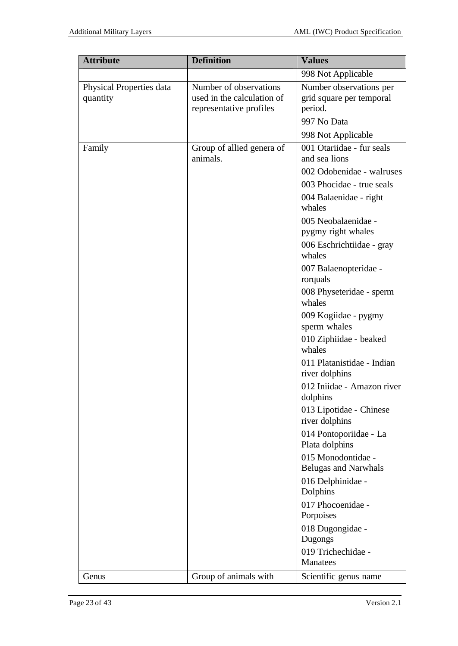| <b>Attribute</b>                     | <b>Definition</b>                                                               | <b>Values</b>                                                                 |
|--------------------------------------|---------------------------------------------------------------------------------|-------------------------------------------------------------------------------|
|                                      |                                                                                 | 998 Not Applicable                                                            |
| Physical Properties data<br>quantity | Number of observations<br>used in the calculation of<br>representative profiles | Number observations per<br>grid square per temporal<br>period.<br>997 No Data |
| Family                               | Group of allied genera of                                                       | 998 Not Applicable<br>001 Otariidae - fur seals                               |
|                                      | animals.                                                                        | and sea lions                                                                 |
|                                      |                                                                                 | 002 Odobenidae - walruses                                                     |
|                                      |                                                                                 | 003 Phocidae - true seals                                                     |
|                                      |                                                                                 | 004 Balaenidae - right<br>whales                                              |
|                                      |                                                                                 | 005 Neobalaenidae -<br>pygmy right whales                                     |
|                                      |                                                                                 | 006 Eschrichtiidae - gray<br>whales                                           |
|                                      |                                                                                 | 007 Balaenopteridae -                                                         |
|                                      |                                                                                 | rorquals<br>008 Physeteridae - sperm                                          |
|                                      |                                                                                 | whales                                                                        |
|                                      |                                                                                 | 009 Kogiidae - pygmy<br>sperm whales                                          |
|                                      |                                                                                 | 010 Ziphiidae - beaked<br>whales                                              |
|                                      |                                                                                 | 011 Platanistidae - Indian<br>river dolphins                                  |
|                                      |                                                                                 | 012 Iniidae - Amazon river<br>dolphins                                        |
|                                      |                                                                                 | 013 Lipotidae - Chinese<br>river dolphins                                     |
|                                      |                                                                                 | 014 Pontoporiidae - La<br>Plata dolphins                                      |
|                                      |                                                                                 | 015 Monodontidae -<br><b>Belugas and Narwhals</b>                             |
|                                      |                                                                                 | 016 Delphinidae -<br>Dolphins                                                 |
|                                      |                                                                                 | 017 Phocoenidae -<br>Porpoises                                                |
|                                      |                                                                                 | 018 Dugongidae -<br>Dugongs                                                   |
|                                      |                                                                                 | 019 Trichechidae -<br><b>Manatees</b>                                         |
| Genus                                | Group of animals with                                                           | Scientific genus name                                                         |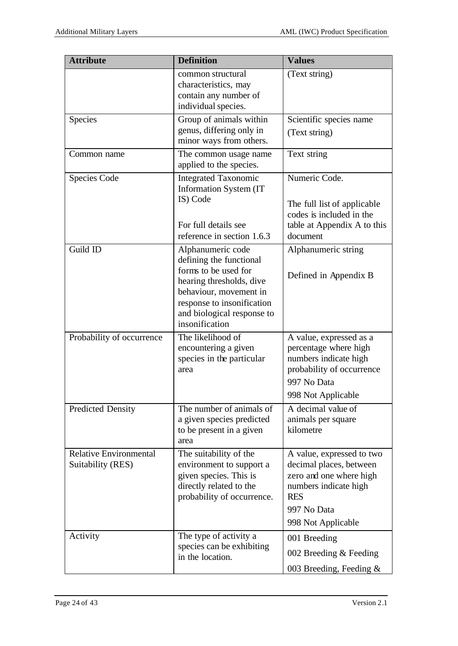| <b>Attribute</b>                                   | <b>Definition</b>                                                                                                                                                                                        | <b>Values</b>                                                                                                                                               |
|----------------------------------------------------|----------------------------------------------------------------------------------------------------------------------------------------------------------------------------------------------------------|-------------------------------------------------------------------------------------------------------------------------------------------------------------|
|                                                    | common structural<br>characteristics, may<br>contain any number of<br>individual species.                                                                                                                | (Text string)                                                                                                                                               |
| Species                                            | Group of animals within<br>genus, differing only in<br>minor ways from others.                                                                                                                           | Scientific species name<br>(Text string)                                                                                                                    |
| Common name                                        | The common usage name<br>applied to the species.                                                                                                                                                         | Text string                                                                                                                                                 |
| <b>Species Code</b>                                | <b>Integrated Taxonomic</b><br><b>Information System (IT)</b><br>IS) Code<br>For full details see<br>reference in section 1.6.3                                                                          | Numeric Code.<br>The full list of applicable<br>codes is included in the<br>table at Appendix A to this<br>document                                         |
| Guild ID                                           | Alphanumeric code<br>defining the functional<br>forms to be used for<br>hearing thresholds, dive<br>behaviour, movement in<br>response to insonification<br>and biological response to<br>insonification | Alphanumeric string<br>Defined in Appendix B                                                                                                                |
| Probability of occurrence                          | The likelihood of<br>encountering a given<br>species in the particular<br>area                                                                                                                           | A value, expressed as a<br>percentage where high<br>numbers indicate high<br>probability of occurrence<br>997 No Data<br>998 Not Applicable                 |
| <b>Predicted Density</b>                           | The number of animals of<br>a given species predicted<br>to be present in a given<br>area                                                                                                                | $\overline{A}$ decimal value of<br>animals per square<br>kilometre                                                                                          |
| <b>Relative Environmental</b><br>Suitability (RES) | The suitability of the<br>environment to support a<br>given species. This is<br>directly related to the<br>probability of occurrence.                                                                    | A value, expressed to two<br>decimal places, between<br>zero and one where high<br>numbers indicate high<br><b>RES</b><br>997 No Data<br>998 Not Applicable |
| Activity                                           | The type of activity a<br>species can be exhibiting<br>in the location.                                                                                                                                  | 001 Breeding<br>002 Breeding $&$ Feeding<br>003 Breeding, Feeding $\&$                                                                                      |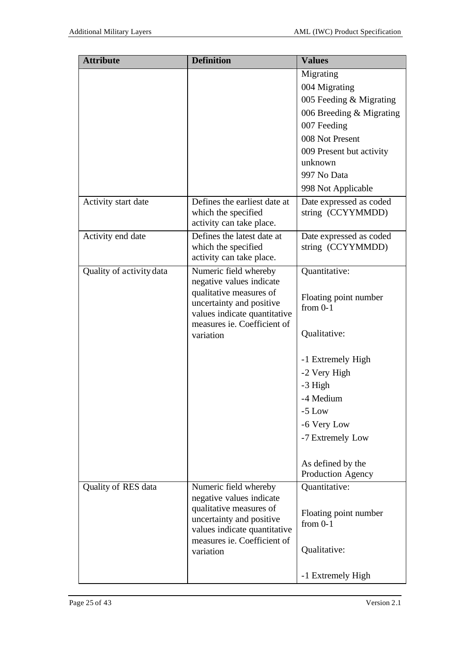| <b>Attribute</b>         | <b>Definition</b>                                                                                                                              | <b>Values</b>                                |
|--------------------------|------------------------------------------------------------------------------------------------------------------------------------------------|----------------------------------------------|
|                          |                                                                                                                                                | Migrating                                    |
|                          |                                                                                                                                                | 004 Migrating                                |
|                          |                                                                                                                                                | 005 Feeding & Migrating                      |
|                          |                                                                                                                                                | 006 Breeding $&$ Migrating                   |
|                          |                                                                                                                                                | 007 Feeding                                  |
|                          |                                                                                                                                                | 008 Not Present                              |
|                          |                                                                                                                                                | 009 Present but activity                     |
|                          |                                                                                                                                                | unknown                                      |
|                          |                                                                                                                                                | 997 No Data                                  |
|                          |                                                                                                                                                | 998 Not Applicable                           |
| Activity start date      | Defines the earliest date at<br>which the specified<br>activity can take place.                                                                | Date expressed as coded<br>string (CCYYMMDD) |
| Activity end date        | Defines the latest date at<br>which the specified<br>activity can take place.                                                                  | Date expressed as coded<br>string (CCYYMMDD) |
| Quality of activity data | Numeric field whereby                                                                                                                          | Quantitative:                                |
|                          | negative values indicate<br>qualitative measures of<br>uncertainty and positive<br>values indicate quantitative                                | Floating point number<br>from $0-1$          |
|                          | measures ie. Coefficient of<br>variation                                                                                                       | Qualitative:                                 |
|                          |                                                                                                                                                | -1 Extremely High                            |
|                          |                                                                                                                                                | -2 Very High                                 |
|                          |                                                                                                                                                | -3 High                                      |
|                          |                                                                                                                                                | -4 Medium                                    |
|                          |                                                                                                                                                | $-5$ Low                                     |
|                          |                                                                                                                                                | -6 Very Low                                  |
|                          |                                                                                                                                                | -7 Extremely Low                             |
|                          |                                                                                                                                                |                                              |
|                          |                                                                                                                                                | As defined by the                            |
|                          |                                                                                                                                                | Production Agency                            |
| Quality of RES data      | Numeric field whereby                                                                                                                          | Quantitative:                                |
|                          | negative values indicate<br>qualitative measures of<br>uncertainty and positive<br>values indicate quantitative<br>measures ie. Coefficient of | Floating point number<br>from $0-1$          |
|                          | variation                                                                                                                                      | Qualitative:                                 |
|                          |                                                                                                                                                | -1 Extremely High                            |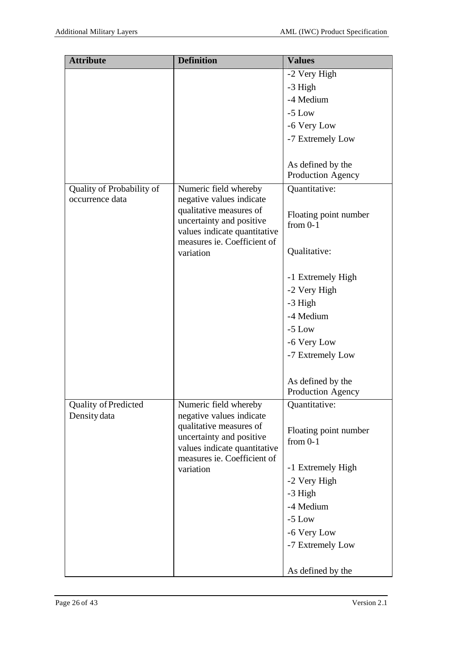| <b>Attribute</b>          | <b>Definition</b>                                   | <b>Values</b>                          |
|---------------------------|-----------------------------------------------------|----------------------------------------|
|                           |                                                     | -2 Very High                           |
|                           |                                                     | -3 High                                |
|                           |                                                     | -4 Medium                              |
|                           |                                                     | $-5$ Low                               |
|                           |                                                     | -6 Very Low                            |
|                           |                                                     | -7 Extremely Low                       |
|                           |                                                     |                                        |
|                           |                                                     | As defined by the                      |
|                           |                                                     | Production Agency                      |
| Quality of Probability of | Numeric field whereby                               | Quantitative:                          |
| occurrence data           | negative values indicate                            |                                        |
|                           | qualitative measures of<br>uncertainty and positive | Floating point number                  |
|                           | values indicate quantitative                        | from $0-1$                             |
|                           | measures ie. Coefficient of                         |                                        |
|                           | variation                                           | Qualitative:                           |
|                           |                                                     |                                        |
|                           |                                                     | -1 Extremely High                      |
|                           |                                                     | -2 Very High                           |
|                           |                                                     | -3 High                                |
|                           |                                                     | -4 Medium                              |
|                           |                                                     | $-5$ Low                               |
|                           |                                                     | -6 Very Low                            |
|                           |                                                     | -7 Extremely Low                       |
|                           |                                                     |                                        |
|                           |                                                     | As defined by the<br>Production Agency |
| Quality of Predicted      | Numeric field whereby                               | Quantitative:                          |
| Density data              | negative values indicate                            |                                        |
|                           | qualitative measures of                             | Floating point number                  |
|                           | uncertainty and positive                            | from $0-1$                             |
|                           | values indicate quantitative                        |                                        |
|                           | measures ie. Coefficient of<br>variation            | -1 Extremely High                      |
|                           |                                                     | -2 Very High                           |
|                           |                                                     | -3 High                                |
|                           |                                                     | -4 Medium                              |
|                           |                                                     | $-5$ Low                               |
|                           |                                                     | -6 Very Low                            |
|                           |                                                     | -7 Extremely Low                       |
|                           |                                                     |                                        |
|                           |                                                     | As defined by the                      |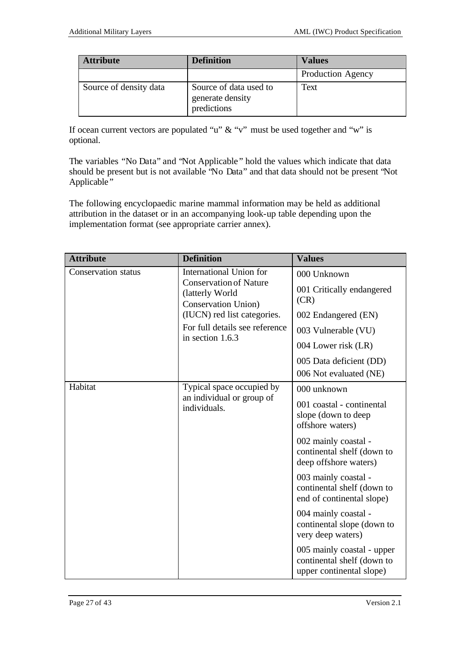| <b>Attribute</b>       | <b>Definition</b>                                         | <b>Values</b>            |
|------------------------|-----------------------------------------------------------|--------------------------|
|                        |                                                           | <b>Production Agency</b> |
| Source of density data | Source of data used to<br>generate density<br>predictions | Text                     |

If ocean current vectors are populated "u"  $\&$  "v" must be used together and "w" is optional.

The variables "No Data" and "Not Applicable " hold the values which indicate that data should be present but is not available "No Data" and that data should not be present "Not Applicable"

The following encyclopaedic marine mammal information may be held as additional attribution in the dataset or in an accompanying look-up table depending upon the implementation format (see appropriate carrier annex).

| <b>Attribute</b>           | <b>Definition</b>                                                                                                                         | <b>Values</b>                                                                                                                                                                                                                                         |
|----------------------------|-------------------------------------------------------------------------------------------------------------------------------------------|-------------------------------------------------------------------------------------------------------------------------------------------------------------------------------------------------------------------------------------------------------|
| <b>Conservation status</b> | International Union for<br><b>Conservation of Nature</b><br>(latterly World<br><b>Conservation Union</b> )<br>(IUCN) red list categories. | 000 Unknown<br>001 Critically endangered<br>(CR)<br>002 Endangered (EN)                                                                                                                                                                               |
|                            | For full details see reference<br>in section 1.6.3                                                                                        | 003 Vulnerable (VU)<br>004 Lower risk (LR)<br>005 Data deficient (DD)                                                                                                                                                                                 |
|                            |                                                                                                                                           | 006 Not evaluated (NE)                                                                                                                                                                                                                                |
| Habitat                    | Typical space occupied by<br>an individual or group of<br>individuals.                                                                    | 000 unknown<br>001 coastal - continental<br>slope (down to deep<br>offshore waters)<br>002 mainly coastal -<br>continental shelf (down to<br>deep offshore waters)<br>003 mainly coastal -<br>continental shelf (down to<br>end of continental slope) |
|                            |                                                                                                                                           | 004 mainly coastal -<br>continental slope (down to<br>very deep waters)<br>005 mainly coastal - upper<br>continental shelf (down to<br>upper continental slope)                                                                                       |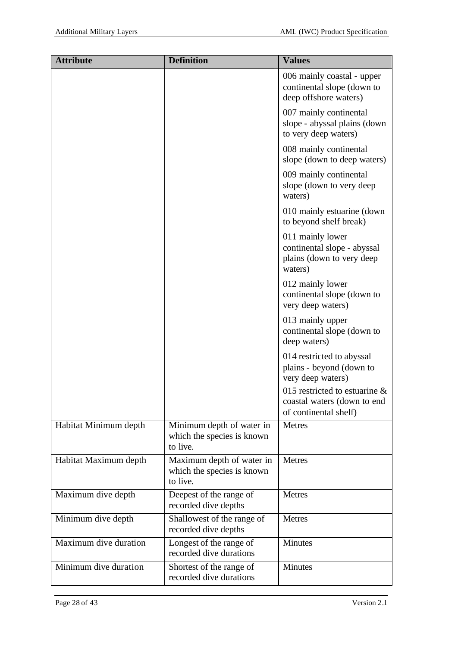| <b>Attribute</b>      | <b>Definition</b>                                                   | <b>Values</b>                                                                            |
|-----------------------|---------------------------------------------------------------------|------------------------------------------------------------------------------------------|
|                       |                                                                     | 006 mainly coastal - upper<br>continental slope (down to<br>deep offshore waters)        |
|                       |                                                                     | 007 mainly continental<br>slope - abyssal plains (down<br>to very deep waters)           |
|                       |                                                                     | 008 mainly continental<br>slope (down to deep waters)                                    |
|                       |                                                                     | 009 mainly continental<br>slope (down to very deep<br>waters)                            |
|                       |                                                                     | 010 mainly estuarine (down<br>to beyond shelf break)                                     |
|                       |                                                                     | 011 mainly lower<br>continental slope - abyssal<br>plains (down to very deep<br>waters)  |
|                       |                                                                     | 012 mainly lower<br>continental slope (down to<br>very deep waters)                      |
|                       |                                                                     | 013 mainly upper<br>continental slope (down to<br>deep waters)                           |
|                       |                                                                     | 014 restricted to abyssal<br>plains - beyond (down to<br>very deep waters)               |
|                       |                                                                     | 015 restricted to estuarine $\&$<br>coastal waters (down to end<br>of continental shelf) |
| Habitat Minimum depth | Minimum depth of water in<br>which the species is known<br>to live. | <b>Metres</b>                                                                            |
| Habitat Maximum depth | Maximum depth of water in<br>which the species is known<br>to live. | <b>Metres</b>                                                                            |
| Maximum dive depth    | Deepest of the range of<br>recorded dive depths                     | <b>Metres</b>                                                                            |
| Minimum dive depth    | Shallowest of the range of<br>recorded dive depths                  | <b>Metres</b>                                                                            |
| Maximum dive duration | Longest of the range of<br>recorded dive durations                  | <b>Minutes</b>                                                                           |
| Minimum dive duration | Shortest of the range of<br>recorded dive durations                 | <b>Minutes</b>                                                                           |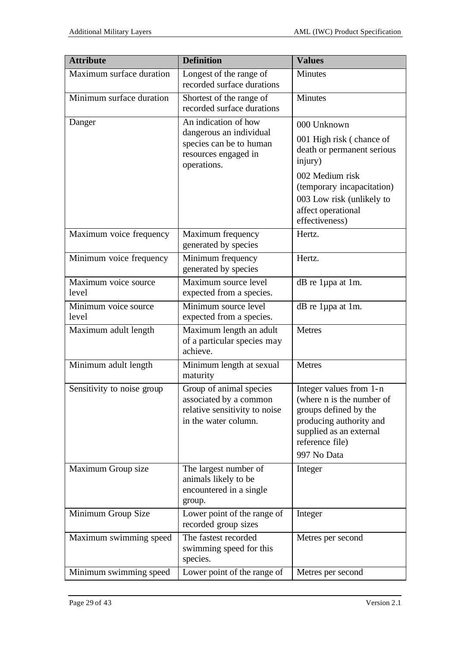| <b>Attribute</b>              | <b>Definition</b>                                                                                          | <b>Values</b>                                                                                                                                                         |  |  |
|-------------------------------|------------------------------------------------------------------------------------------------------------|-----------------------------------------------------------------------------------------------------------------------------------------------------------------------|--|--|
| Maximum surface duration      | Longest of the range of<br>recorded surface durations                                                      | <b>Minutes</b>                                                                                                                                                        |  |  |
| Minimum surface duration      | Shortest of the range of<br>recorded surface durations                                                     | <b>Minutes</b>                                                                                                                                                        |  |  |
| Danger                        | An indication of how                                                                                       | 000 Unknown                                                                                                                                                           |  |  |
|                               | dangerous an individual<br>species can be to human<br>resources engaged in<br>operations.                  | 001 High risk (chance of<br>death or permanent serious<br>injury)                                                                                                     |  |  |
|                               |                                                                                                            | 002 Medium risk<br>(temporary incapacitation)<br>003 Low risk (unlikely to<br>affect operational<br>effectiveness)                                                    |  |  |
| Maximum voice frequency       | Maximum frequency<br>generated by species                                                                  | Hertz.                                                                                                                                                                |  |  |
| Minimum voice frequency       | Minimum frequency<br>generated by species                                                                  | Hertz.                                                                                                                                                                |  |  |
| Maximum voice source<br>level | Maximum source level<br>expected from a species.                                                           | dB re 1µpa at 1m.                                                                                                                                                     |  |  |
| Minimum voice source<br>level | Minimum source level<br>expected from a species.                                                           | dB re 1µpa at 1m.                                                                                                                                                     |  |  |
| Maximum adult length          | Maximum length an adult<br>of a particular species may<br>achieve.                                         | <b>Metres</b>                                                                                                                                                         |  |  |
| Minimum adult length          | Minimum length at sexual<br>maturity                                                                       | Metres                                                                                                                                                                |  |  |
| Sensitivity to noise group    | Group of animal species<br>associated by a common<br>relative sensitivity to noise<br>in the water column. | Integer values from 1-n<br>(where n is the number of<br>groups defined by the<br>producing authority and<br>supplied as an external<br>reference file)<br>997 No Data |  |  |
| Maximum Group size            | The largest number of<br>animals likely to be<br>encountered in a single<br>group.                         | Integer                                                                                                                                                               |  |  |
| Minimum Group Size            | Lower point of the range of<br>recorded group sizes                                                        | Integer                                                                                                                                                               |  |  |
| Maximum swimming speed        | The fastest recorded<br>swimming speed for this<br>species.                                                | Metres per second                                                                                                                                                     |  |  |
| Minimum swimming speed        | Lower point of the range of                                                                                | Metres per second                                                                                                                                                     |  |  |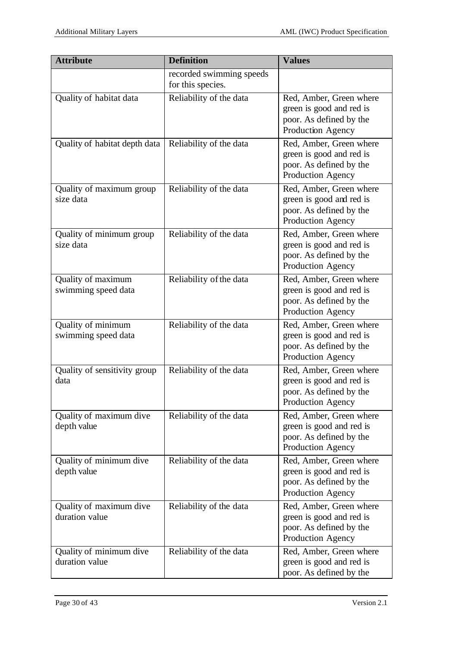| <b>Attribute</b>                          | <b>Definition</b>                             | <b>Values</b>                                                                                       |
|-------------------------------------------|-----------------------------------------------|-----------------------------------------------------------------------------------------------------|
|                                           | recorded swimming speeds<br>for this species. |                                                                                                     |
| Quality of habitat data                   | Reliability of the data                       | Red, Amber, Green where<br>green is good and red is<br>poor. As defined by the<br>Production Agency |
| Quality of habitat depth data             | Reliability of the data                       | Red, Amber, Green where<br>green is good and red is<br>poor. As defined by the<br>Production Agency |
| Quality of maximum group<br>size data     | Reliability of the data                       | Red, Amber, Green where<br>green is good and red is<br>poor. As defined by the<br>Production Agency |
| Quality of minimum group<br>size data     | Reliability of the data                       | Red, Amber, Green where<br>green is good and red is<br>poor. As defined by the<br>Production Agency |
| Quality of maximum<br>swimming speed data | Reliability of the data                       | Red, Amber, Green where<br>green is good and red is<br>poor. As defined by the<br>Production Agency |
| Quality of minimum<br>swimming speed data | Reliability of the data                       | Red, Amber, Green where<br>green is good and red is<br>poor. As defined by the<br>Production Agency |
| Quality of sensitivity group<br>data      | Reliability of the data                       | Red, Amber, Green where<br>green is good and red is<br>poor. As defined by the<br>Production Agency |
| Quality of maximum dive<br>depth value    | Reliability of the data                       | Red, Amber, Green where<br>green is good and red is<br>poor. As defined by the<br>Production Agency |
| Quality of minimum dive<br>depth value    | Reliability of the data                       | Red, Amber, Green where<br>green is good and red is<br>poor. As defined by the<br>Production Agency |
| Quality of maximum dive<br>duration value | Reliability of the data                       | Red, Amber, Green where<br>green is good and red is<br>poor. As defined by the<br>Production Agency |
| Quality of minimum dive<br>duration value | Reliability of the data                       | Red, Amber, Green where<br>green is good and red is<br>poor. As defined by the                      |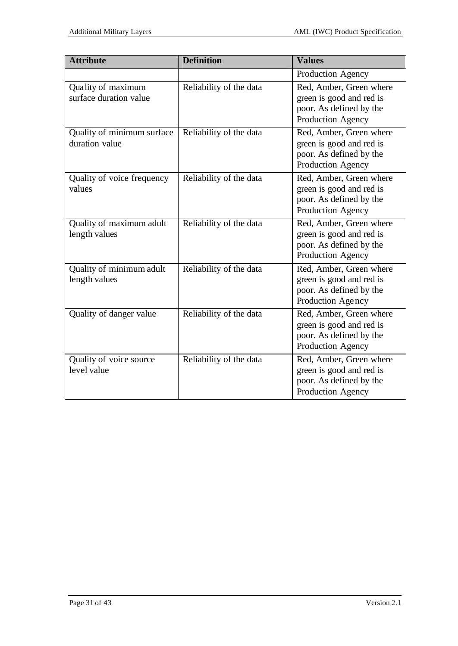| <b>Attribute</b>                             | <b>Definition</b>       | <b>Values</b>                                                                                       |
|----------------------------------------------|-------------------------|-----------------------------------------------------------------------------------------------------|
|                                              |                         | Production Agency                                                                                   |
| Quality of maximum<br>surface duration value | Reliability of the data | Red, Amber, Green where<br>green is good and red is<br>poor. As defined by the<br>Production Agency |
| Quality of minimum surface<br>duration value | Reliability of the data | Red, Amber, Green where<br>green is good and red is<br>poor. As defined by the<br>Production Agency |
| Quality of voice frequency<br>values         | Reliability of the data | Red, Amber, Green where<br>green is good and red is<br>poor. As defined by the<br>Production Agency |
| Quality of maximum adult<br>length values    | Reliability of the data | Red, Amber, Green where<br>green is good and red is<br>poor. As defined by the<br>Production Agency |
| Quality of minimum adult<br>length values    | Reliability of the data | Red, Amber, Green where<br>green is good and red is<br>poor. As defined by the<br>Production Agency |
| Quality of danger value                      | Reliability of the data | Red, Amber, Green where<br>green is good and red is<br>poor. As defined by the<br>Production Agency |
| Quality of voice source<br>level value       | Reliability of the data | Red, Amber, Green where<br>green is good and red is<br>poor. As defined by the<br>Production Agency |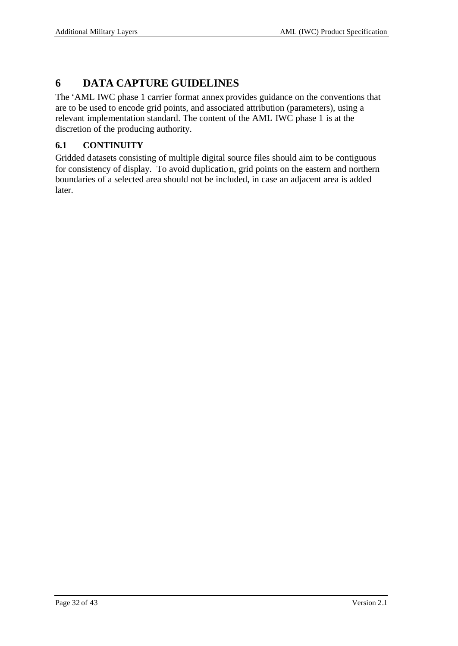# **6 DATA CAPTURE GUIDELINES**

The 'AML IWC phase 1 carrier format annex provides guidance on the conventions that are to be used to encode grid points, and associated attribution (parameters), using a relevant implementation standard. The content of the AML IWC phase 1 is at the discretion of the producing authority.

# **6.1 CONTINUITY**

Gridded datasets consisting of multiple digital source files should aim to be contiguous for consistency of display. To avoid duplication, grid points on the eastern and northern boundaries of a selected area should not be included, in case an adjacent area is added later.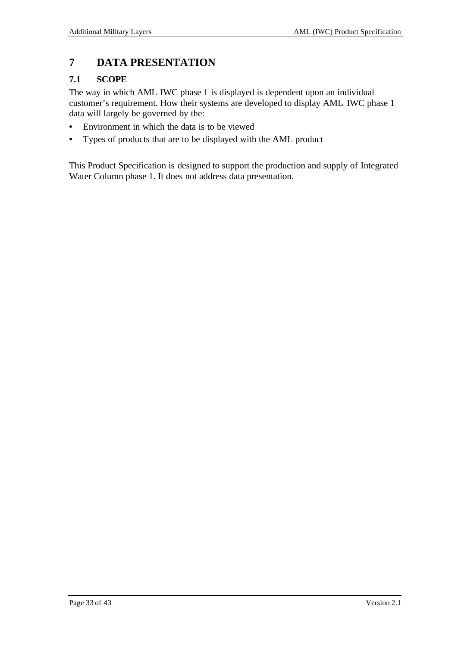# **7 DATA PRESENTATION**

# **7.1 SCOPE**

The way in which AML IWC phase 1 is displayed is dependent upon an individual customer's requirement. How their systems are developed to display AML IWC phase 1 data will largely be governed by the:

- Environment in which the data is to be viewed
- Types of products that are to be displayed with the AML product

This Product Specification is designed to support the production and supply of Integrated Water Column phase 1. It does not address data presentation.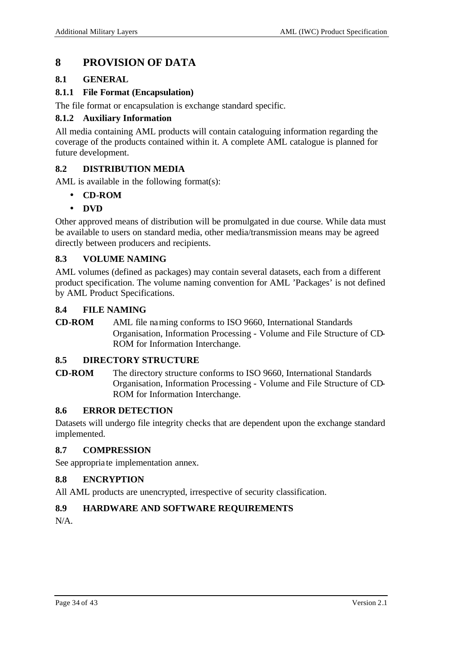# **8 PROVISION OF DATA**

#### **8.1 GENERAL**

#### **8.1.1 File Format (Encapsulation)**

The file format or encapsulation is exchange standard specific.

#### **8.1.2 Auxiliary Information**

All media containing AML products will contain cataloguing information regarding the coverage of the products contained within it. A complete AML catalogue is planned for future development.

#### **8.2 DISTRIBUTION MEDIA**

AML is available in the following format(s):

- **CD-ROM**
- **DVD**

Other approved means of distribution will be promulgated in due course. While data must be available to users on standard media, other media/transmission means may be agreed directly between producers and recipients.

#### **8.3 VOLUME NAMING**

AML volumes (defined as packages) may contain several datasets, each from a different product specification. The volume naming convention for AML 'Packages' is not defined by AML Product Specifications.

#### **8.4 FILE NAMING**

**CD-ROM** AML file naming conforms to ISO 9660, International Standards Organisation, Information Processing - Volume and File Structure of CD-ROM for Information Interchange.

#### **8.5 DIRECTORY STRUCTURE**

**CD-ROM** The directory structure conforms to ISO 9660, International Standards Organisation, Information Processing - Volume and File Structure of CD-ROM for Information Interchange.

#### **8.6 ERROR DETECTION**

Datasets will undergo file integrity checks that are dependent upon the exchange standard implemented.

#### **8.7 COMPRESSION**

See appropria te implementation annex.

#### **8.8 ENCRYPTION**

All AML products are unencrypted, irrespective of security classification.

#### **8.9 HARDWARE AND SOFTWARE REQUIREMENTS**

 $N/A$ .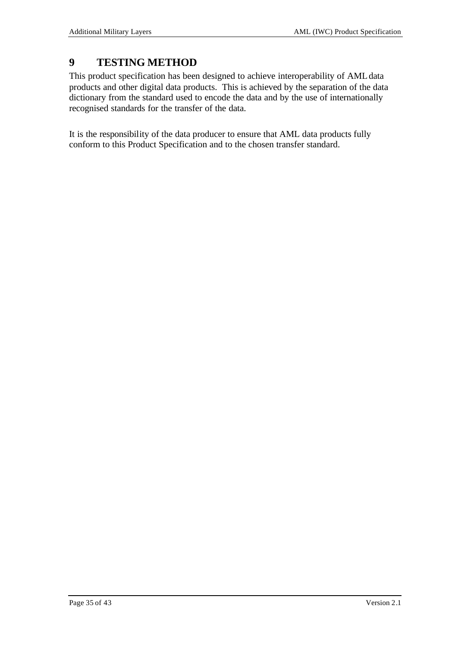# **9 TESTING METHOD**

This product specification has been designed to achieve interoperability of AML data products and other digital data products. This is achieved by the separation of the data dictionary from the standard used to encode the data and by the use of internationally recognised standards for the transfer of the data.

It is the responsibility of the data producer to ensure that AML data products fully conform to this Product Specification and to the chosen transfer standard.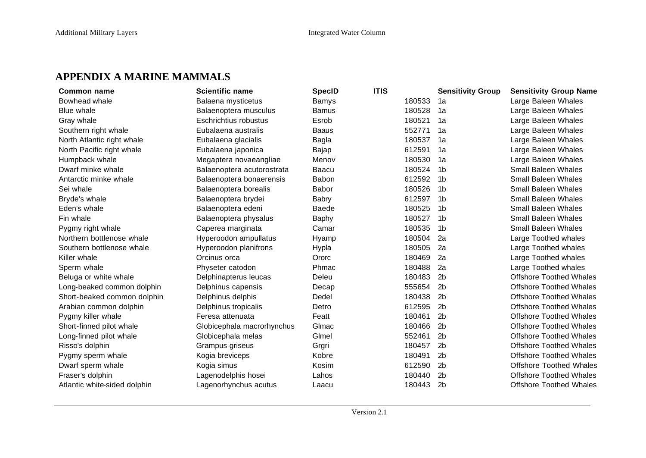# **APPENDIX A MARINE MAMMALS**

| <b>Common name</b>           | <b>Scientific name</b>     | <b>SpecID</b> | <b>ITIS</b> |        | <b>Sensitivity Group</b> | <b>Sensitivity Group Name</b>  |
|------------------------------|----------------------------|---------------|-------------|--------|--------------------------|--------------------------------|
| Bowhead whale                | Balaena mysticetus         | Bamys         |             | 180533 | 1a                       | Large Baleen Whales            |
| Blue whale                   | Balaenoptera musculus      | <b>Bamus</b>  |             | 180528 | 1a                       | Large Baleen Whales            |
| Gray whale                   | Eschrichtius robustus      | Esrob         |             | 180521 | 1a                       | Large Baleen Whales            |
| Southern right whale         | Eubalaena australis        | <b>Baaus</b>  |             | 552771 | 1a                       | Large Baleen Whales            |
| North Atlantic right whale   | Eubalaena glacialis        | Bagla         |             | 180537 | 1a                       | Large Baleen Whales            |
| North Pacific right whale    | Eubalaena japonica         | Bajap         |             | 612591 | 1a                       | Large Baleen Whales            |
| Humpback whale               | Megaptera novaeangliae     | Menov         |             | 180530 | 1a                       | Large Baleen Whales            |
| Dwarf minke whale            | Balaenoptera acutorostrata | <b>Baacu</b>  |             | 180524 | 1b                       | <b>Small Baleen Whales</b>     |
| Antarctic minke whale        | Balaenoptera bonaerensis   | Babon         |             | 612592 | 1 <sub>b</sub>           | <b>Small Baleen Whales</b>     |
| Sei whale                    | Balaenoptera borealis      | Babor         |             | 180526 | 1 <sub>b</sub>           | <b>Small Baleen Whales</b>     |
| Bryde's whale                | Balaenoptera brydei        | <b>Babry</b>  |             | 612597 | 1b                       | <b>Small Baleen Whales</b>     |
| Eden's whale                 | Balaenoptera edeni         | <b>Baede</b>  |             | 180525 | 1b                       | Small Baleen Whales            |
| Fin whale                    | Balaenoptera physalus      | Baphy         |             | 180527 | 1b                       | <b>Small Baleen Whales</b>     |
| Pygmy right whale            | Caperea marginata          | Camar         |             | 180535 | 1b                       | <b>Small Baleen Whales</b>     |
| Northern bottlenose whale    | Hyperoodon ampullatus      | Hyamp         |             | 180504 | 2a                       | Large Toothed whales           |
| Southern bottlenose whale    | Hyperoodon planifrons      | Hypla         |             | 180505 | 2a                       | Large Toothed whales           |
| Killer whale                 | Orcinus orca               | Ororc         |             | 180469 | 2a                       | Large Toothed whales           |
| Sperm whale                  | Physeter catodon           | Phmac         |             | 180488 | 2a                       | Large Toothed whales           |
| Beluga or white whale        | Delphinapterus leucas      | Deleu         |             | 180483 | 2 <sub>b</sub>           | <b>Offshore Toothed Whales</b> |
| Long-beaked common dolphin   | Delphinus capensis         | Decap         |             | 555654 | 2 <sub>b</sub>           | <b>Offshore Toothed Whales</b> |
| Short-beaked common dolphin  | Delphinus delphis          | Dedel         |             | 180438 | 2 <sub>b</sub>           | <b>Offshore Toothed Whales</b> |
| Arabian common dolphin       | Delphinus tropicalis       | Detro         |             | 612595 | 2 <sub>b</sub>           | <b>Offshore Toothed Whales</b> |
| Pygmy killer whale           | Feresa attenuata           | Featt         |             | 180461 | 2 <sub>b</sub>           | <b>Offshore Toothed Whales</b> |
| Short-finned pilot whale     | Globicephala macrorhynchus | Glmac         |             | 180466 | 2 <sub>b</sub>           | <b>Offshore Toothed Whales</b> |
| Long-finned pilot whale      | Globicephala melas         | Glmel         |             | 552461 | 2 <sub>b</sub>           | <b>Offshore Toothed Whales</b> |
| Risso's dolphin              | Grampus griseus            | Grgri         |             | 180457 | 2 <sub>b</sub>           | <b>Offshore Toothed Whales</b> |
| Pygmy sperm whale            | Kogia breviceps            | Kobre         |             | 180491 | 2 <sub>b</sub>           | <b>Offshore Toothed Whales</b> |
| Dwarf sperm whale            | Kogia simus                | Kosim         |             | 612590 | 2 <sub>b</sub>           | <b>Offshore Toothed Whales</b> |
| Fraser's dolphin             | Lagenodelphis hosei        | Lahos         |             | 180440 | 2 <sub>b</sub>           | <b>Offshore Toothed Whales</b> |
| Atlantic white-sided dolphin | Lagenorhynchus acutus      | Laacu         |             | 180443 | 2 <sub>b</sub>           | <b>Offshore Toothed Whales</b> |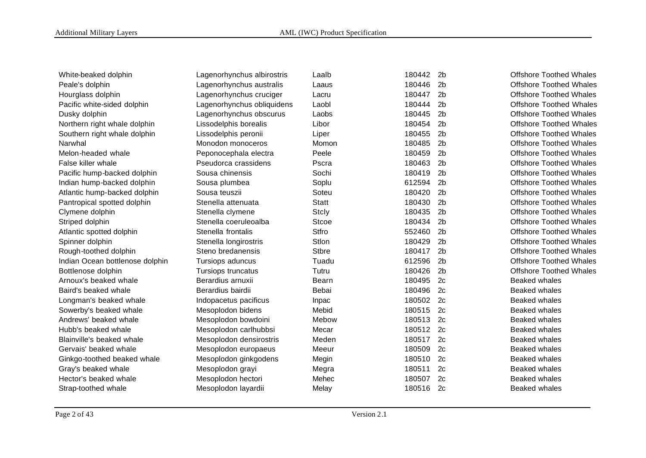| White-beaked dolphin            | Lagenorhynchus albirostris | Laalb        | 180442 | 2 <sub>b</sub> | <b>Offshore Toothed Whales</b> |
|---------------------------------|----------------------------|--------------|--------|----------------|--------------------------------|
| Peale's dolphin                 | Lagenorhynchus australis   | Laaus        | 180446 | 2 <sub>b</sub> | <b>Offshore Toothed Whales</b> |
| Hourglass dolphin               | Lagenorhynchus cruciger    | Lacru        | 180447 | 2 <sub>b</sub> | <b>Offshore Toothed Whales</b> |
| Pacific white-sided dolphin     | Lagenorhynchus obliquidens | Laobl        | 180444 | 2 <sub>b</sub> | <b>Offshore Toothed Whales</b> |
| Dusky dolphin                   | Lagenorhynchus obscurus    | Laobs        | 180445 | 2 <sub>b</sub> | <b>Offshore Toothed Whales</b> |
| Northern right whale dolphin    | Lissodelphis borealis      | Libor        | 180454 | 2 <sub>b</sub> | <b>Offshore Toothed Whales</b> |
| Southern right whale dolphin    | Lissodelphis peronii       | Liper        | 180455 | 2 <sub>b</sub> | <b>Offshore Toothed Whales</b> |
| Narwhal                         | Monodon monoceros          | Momon        | 180485 | 2 <sub>b</sub> | <b>Offshore Toothed Whales</b> |
| Melon-headed whale              | Peponocephala electra      | Peele        | 180459 | 2 <sub>b</sub> | <b>Offshore Toothed Whales</b> |
| False killer whale              | Pseudorca crassidens       | Pscra        | 180463 | 2 <sub>b</sub> | <b>Offshore Toothed Whales</b> |
| Pacific hump-backed dolphin     | Sousa chinensis            | Sochi        | 180419 | 2 <sub>b</sub> | <b>Offshore Toothed Whales</b> |
| Indian hump-backed dolphin      | Sousa plumbea              | Soplu        | 612594 | 2 <sub>b</sub> | <b>Offshore Toothed Whales</b> |
| Atlantic hump-backed dolphin    | Sousa teuszii              | Soteu        | 180420 | 2 <sub>b</sub> | <b>Offshore Toothed Whales</b> |
| Pantropical spotted dolphin     | Stenella attenuata         | <b>Statt</b> | 180430 | 2 <sub>b</sub> | <b>Offshore Toothed Whales</b> |
| Clymene dolphin                 | Stenella clymene           | Stcly        | 180435 | 2 <sub>b</sub> | <b>Offshore Toothed Whales</b> |
| Striped dolphin                 | Stenella coeruleoalba      | Stcoe        | 180434 | 2 <sub>b</sub> | <b>Offshore Toothed Whales</b> |
| Atlantic spotted dolphin        | Stenella frontalis         | Stfro        | 552460 | 2 <sub>b</sub> | <b>Offshore Toothed Whales</b> |
| Spinner dolphin                 | Stenella longirostris      | Stlon        | 180429 | 2 <sub>b</sub> | <b>Offshore Toothed Whales</b> |
| Rough-toothed dolphin           | Steno bredanensis          | <b>Stbre</b> | 180417 | 2 <sub>b</sub> | <b>Offshore Toothed Whales</b> |
| Indian Ocean bottlenose dolphin | Tursiops aduncus           | Tuadu        | 612596 | 2 <sub>b</sub> | <b>Offshore Toothed Whales</b> |
| Bottlenose dolphin              | Tursiops truncatus         | Tutru        | 180426 | 2 <sub>b</sub> | <b>Offshore Toothed Whales</b> |
| Arnoux's beaked whale           | Berardius arnuxii          | Bearn        | 180495 | 2c             | <b>Beaked whales</b>           |
| Baird's beaked whale            | Berardius bairdii          | Bebai        | 180496 | 2c             | <b>Beaked whales</b>           |
| Longman's beaked whale          | Indopacetus pacificus      | Inpac        | 180502 | 2c             | <b>Beaked whales</b>           |
| Sowerby's beaked whale          | Mesoplodon bidens          | Mebid        | 180515 | 2c             | <b>Beaked whales</b>           |
| Andrews' beaked whale           | Mesoplodon bowdoini        | Mebow        | 180513 | 2c             | <b>Beaked whales</b>           |
| Hubb's beaked whale             | Mesoplodon carlhubbsi      | Mecar        | 180512 | 2c             | <b>Beaked whales</b>           |
| Blainville's beaked whale       | Mesoplodon densirostris    | Meden        | 180517 | 2c             | <b>Beaked whales</b>           |
| Gervais' beaked whale           | Mesoplodon europaeus       | Meeur        | 180509 | 2c             | Beaked whales                  |
| Ginkgo-toothed beaked whale     | Mesoplodon ginkgodens      | Megin        | 180510 | 2c             | <b>Beaked whales</b>           |
| Gray's beaked whale             | Mesoplodon grayi           | Megra        | 180511 | 2c             | <b>Beaked whales</b>           |
| Hector's beaked whale           | Mesoplodon hectori         | Mehec        | 180507 | 2c             | <b>Beaked whales</b>           |
| Strap-toothed whale             | Mesoplodon layardii        | Melay        | 180516 | 2c             | <b>Beaked whales</b>           |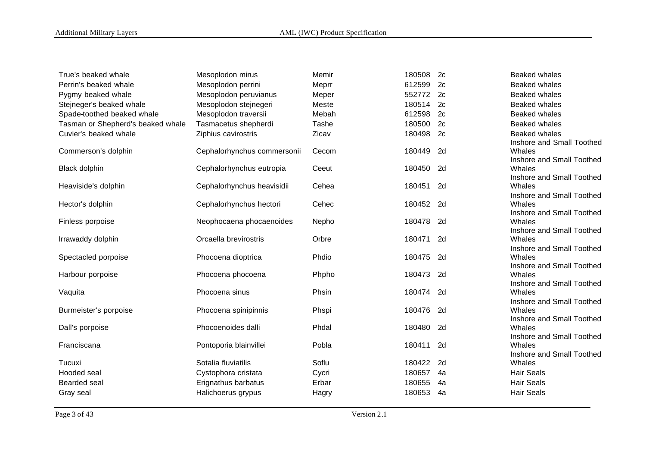| True's beaked whale               | Mesoplodon mirus            | Memir | 180508    | 2c | Beaked whales                                     |
|-----------------------------------|-----------------------------|-------|-----------|----|---------------------------------------------------|
| Perrin's beaked whale             | Mesoplodon perrini          | Meprr | 612599    | 2c | <b>Beaked whales</b>                              |
| Pygmy beaked whale                | Mesoplodon peruvianus       | Meper | 552772    | 2c | <b>Beaked whales</b>                              |
| Stejneger's beaked whale          | Mesoplodon stejnegeri       | Meste | 180514    | 2c | Beaked whales                                     |
| Spade-toothed beaked whale        | Mesoplodon traversii        | Mebah | 612598    | 2c | <b>Beaked whales</b>                              |
| Tasman or Shepherd's beaked whale | Tasmacetus shepherdi        | Tashe | 180500    | 2c | <b>Beaked whales</b>                              |
| Cuvier's beaked whale             | Ziphius cavirostris         | Zicav | 180498    | 2c | <b>Beaked whales</b><br>Inshore and Small Toothed |
| Commerson's dolphin               | Cephalorhynchus commersonii | Cecom | 180449    | 2d | Whales<br>Inshore and Small Toothed               |
| Black dolphin                     | Cephalorhynchus eutropia    | Ceeut | 180450    | 2d | Whales<br>Inshore and Small Toothed               |
| Heaviside's dolphin               | Cephalorhynchus heavisidii  | Cehea | 180451    | 2d | Whales                                            |
| Hector's dolphin                  | Cephalorhynchus hectori     | Cehec | 180452 2d |    | Inshore and Small Toothed<br>Whales               |
| Finless porpoise                  | Neophocaena phocaenoides    | Nepho | 180478    | 2d | Inshore and Small Toothed<br>Whales               |
| Irrawaddy dolphin                 | Orcaella brevirostris       | Orbre | 180471    | 2d | Inshore and Small Toothed<br>Whales               |
| Spectacled porpoise               | Phocoena dioptrica          | Phdio | 180475    | 2d | Inshore and Small Toothed<br>Whales               |
| Harbour porpoise                  | Phocoena phocoena           | Phpho | 180473    | 2d | Inshore and Small Toothed<br>Whales               |
| Vaquita                           | Phocoena sinus              | Phsin | 180474    | 2d | Inshore and Small Toothed<br>Whales               |
| Burmeister's porpoise             | Phocoena spinipinnis        | Phspi | 180476    | 2d | Inshore and Small Toothed<br>Whales               |
| Dall's porpoise                   | Phocoenoides dalli          | Phdal | 180480    | 2d | Inshore and Small Toothed<br>Whales               |
| Franciscana                       | Pontoporia blainvillei      | Pobla | 180411    | 2d | Inshore and Small Toothed<br>Whales               |
| Tucuxi                            | Sotalia fluviatilis         | Soflu | 180422    | 2d | Inshore and Small Toothed<br>Whales               |
| Hooded seal                       | Cystophora cristata         | Cycri | 180657    | 4a | <b>Hair Seals</b>                                 |
| Bearded seal                      | Erignathus barbatus         | Erbar | 180655    | 4a | <b>Hair Seals</b>                                 |
| Gray seal                         | Halichoerus grypus          | Hagry | 180653    | 4a | <b>Hair Seals</b>                                 |
|                                   |                             |       |           |    |                                                   |

Page 3 of 43 Version 2.1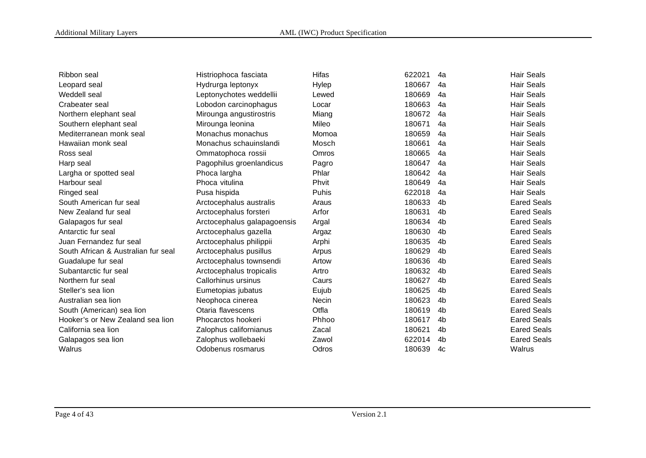| Ribbon seal                         | Histriophoca fasciata       | Hifas        | 622021 | 4a             | <b>Hair Seals</b>  |
|-------------------------------------|-----------------------------|--------------|--------|----------------|--------------------|
| Leopard seal                        | Hydrurga leptonyx           | Hylep        | 180667 | 4a             | <b>Hair Seals</b>  |
| Weddell seal                        | Leptonychotes weddellii     | Lewed        | 180669 | 4a             | <b>Hair Seals</b>  |
| Crabeater seal                      | Lobodon carcinophagus       | Locar        | 180663 | 4a             | <b>Hair Seals</b>  |
| Northern elephant seal              | Mirounga angustirostris     | Miang        | 180672 | 4a             | <b>Hair Seals</b>  |
| Southern elephant seal              | Mirounga leonina            | Mileo        | 180671 | 4a             | <b>Hair Seals</b>  |
| Mediterranean monk seal             | Monachus monachus           | Momoa        | 180659 | 4a             | <b>Hair Seals</b>  |
| Hawaiian monk seal                  | Monachus schauinslandi      | Mosch        | 180661 | 4a             | <b>Hair Seals</b>  |
| Ross seal                           | Ommatophoca rossii          | Omros        | 180665 | 4a             | <b>Hair Seals</b>  |
| Harp seal                           | Pagophilus groenlandicus    | Pagro        | 180647 | 4a             | <b>Hair Seals</b>  |
| Largha or spotted seal              | Phoca largha                | Phlar        | 180642 | 4a             | <b>Hair Seals</b>  |
| Harbour seal                        | Phoca vitulina              | Phvit        | 180649 | 4a             | <b>Hair Seals</b>  |
| Ringed seal                         | Pusa hispida                | Puhis        | 622018 | 4a             | <b>Hair Seals</b>  |
| South American fur seal             | Arctocephalus australis     | Araus        | 180633 | 4b             | <b>Eared Seals</b> |
| New Zealand fur seal                | Arctocephalus forsteri      | Arfor        | 180631 | 4b             | <b>Eared Seals</b> |
| Galapagos fur seal                  | Arctocephalus galapagoensis | Argal        | 180634 | 4b             | <b>Eared Seals</b> |
| Antarctic fur seal                  | Arctocephalus gazella       | Argaz        | 180630 | 4b             | <b>Eared Seals</b> |
| Juan Fernandez fur seal             | Arctocephalus philippii     | Arphi        | 180635 | 4b             | <b>Eared Seals</b> |
| South African & Australian fur seal | Arctocephalus pusillus      | Arpus        | 180629 | 4b             | <b>Eared Seals</b> |
| Guadalupe fur seal                  | Arctocephalus townsendi     | Artow        | 180636 | 4b             | <b>Eared Seals</b> |
| Subantarctic fur seal               | Arctocephalus tropicalis    | Artro        | 180632 | 4b             | <b>Eared Seals</b> |
| Northern fur seal                   | Callorhinus ursinus         | Caurs        | 180627 | 4 <sub>b</sub> | <b>Eared Seals</b> |
| Steller's sea lion                  | Eumetopias jubatus          | Eujub        | 180625 | 4b             | <b>Eared Seals</b> |
| Australian sea lion                 | Neophoca cinerea            | <b>Necin</b> | 180623 | 4b             | <b>Eared Seals</b> |
| South (American) sea lion           | Otaria flavescens           | Otfla        | 180619 | 4b             | <b>Eared Seals</b> |
| Hooker's or New Zealand sea lion    | Phocarctos hookeri          | Phhoo        | 180617 | 4b             | <b>Eared Seals</b> |
| California sea lion                 | Zalophus californianus      | Zacal        | 180621 | 4b             | <b>Eared Seals</b> |
| Galapagos sea lion                  | Zalophus wollebaeki         | Zawol        | 622014 | 4b             | <b>Eared Seals</b> |
| Walrus                              | Odobenus rosmarus           | Odros        | 180639 | 4c             | Walrus             |